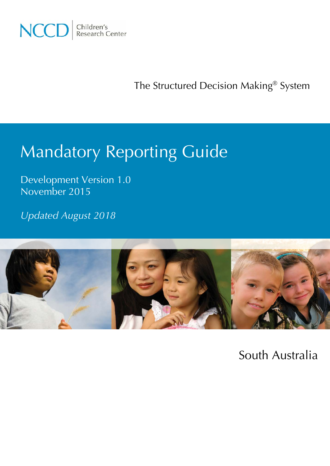

The Structured Decision Making® System

# Mandatory Reporting Guide

Development Version 1.0 November 2015

*Updated August 2018*



South Australia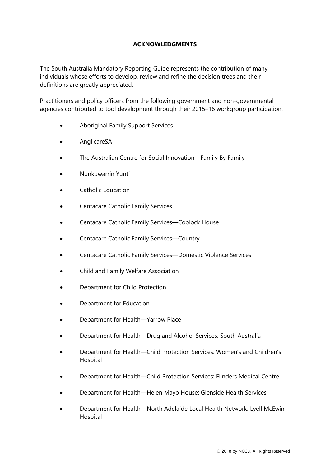# **ACKNOWLEDGMENTS**

The South Australia Mandatory Reporting Guide represents the contribution of many individuals whose efforts to develop, review and refine the decision trees and their definitions are greatly appreciated.

Practitioners and policy officers from the following government and non-governmental agencies contributed to tool development through their 2015–16 workgroup participation.

- Aboriginal Family Support Services
- AnglicareSA
- The Australian Centre for Social Innovation—Family By Family
- Nunkuwarrin Yunti
- Catholic Education
- Centacare Catholic Family Services
- Centacare Catholic Family Services—Coolock House
- Centacare Catholic Family Services—Country
- Centacare Catholic Family Services—Domestic Violence Services
- Child and Family Welfare Association
- Department for Child Protection
- Department for Education
- Department for Health—Yarrow Place
- Department for Health—Drug and Alcohol Services: South Australia
- Department for Health—Child Protection Services: Women's and Children's Hospital
- Department for Health—Child Protection Services: Flinders Medical Centre
- Department for Health—Helen Mayo House: Glenside Health Services
- Department for Health—North Adelaide Local Health Network: Lyell McEwin Hospital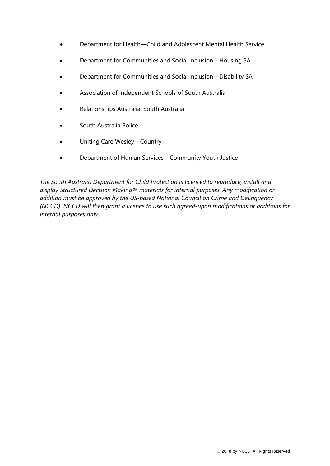- Department for Health—Child and Adolescent Mental Health Service
- Department for Communities and Social Inclusion—Housing SA
- Department for Communities and Social Inclusion—Disability SA
- Association of Independent Schools of South Australia
- Relationships Australia, South Australia
- South Australia Police
- Uniting Care Wesley—Country
- Department of Human Services—Community Youth Justice

*The South Australia Department for Child Protection is licenced to reproduce, install and display Structured Decision Making® materials for internal purposes. Any modification or addition must be approved by the US-based National Council on Crime and Delinquency (NCCD). NCCD will then grant a licence to use such agreed-upon modifications or additions for internal purposes only.*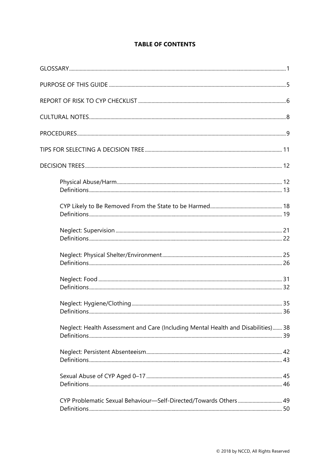# **TABLE OF CONTENTS**

| Definitions.                                                                      | 36 |
|-----------------------------------------------------------------------------------|----|
| Neglect: Health Assessment and Care (Including Mental Health and Disabilities) 38 |    |
|                                                                                   |    |
|                                                                                   |    |
| CYP Problematic Sexual Behaviour-Self-Directed/Towards Others 49                  |    |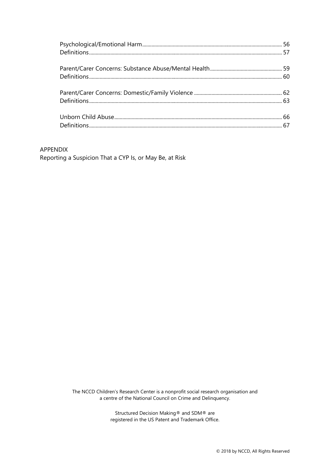#### APPENDIX

Reporting a Suspicion That a CYP Is, or May Be, at Risk

The NCCD Children's Research Center is a nonprofit social research organisation and a centre of the National Council on Crime and Delinquency.

> Structured Decision Making® and SDM® are registered in the US Patent and Trademark Office.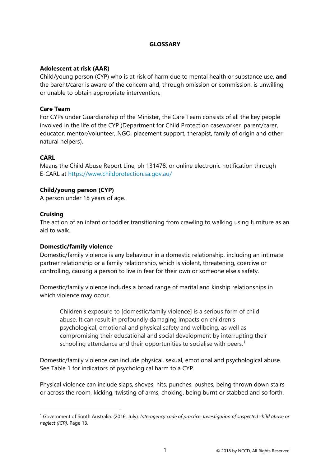#### **GLOSSARY**

#### <span id="page-5-0"></span>**Adolescent at risk (AAR)**

Child/young person (CYP) who is at risk of harm due to mental health or substance use, **and** the parent/carer is aware of the concern and, through omission or commission, is unwilling or unable to obtain appropriate intervention.

#### **Care Team**

For CYPs under Guardianship of the Minister, the Care Team consists of all the key people involved in the life of the CYP (Department for Child Protection caseworker, parent/carer, educator, mentor/volunteer, NGO, placement support, therapist, family of origin and other natural helpers).

## **CARL**

Means the Child Abuse Report Line, ph 131478, or online electronic notification through E-CARL at<https://www.childprotection.sa.gov.au/>

#### **Child/young person (CYP)**

A person under 18 years of age.

#### **Cruising**

The action of an infant or toddler transitioning from crawling to walking using furniture as an aid to walk.

#### **Domestic/family violence**

Domestic/family violence is any behaviour in a domestic relationship, including an intimate partner relationship or a family relationship, which is violent, threatening, coercive or controlling, causing a person to live in fear for their own or someone else's safety.

Domestic/family violence includes a broad range of marital and kinship relationships in which violence may occur.

Children's exposure to [domestic/family violence] is a serious form of child abuse. It can result in profoundly damaging impacts on children's psychological, emotional and physical safety and wellbeing, as well as compromising their educational and social development by interrupting their schooling attendance and their opportunities to socialise with peers.<sup>[1](#page-5-1)</sup>

Domestic/family violence can include physical, sexual, emotional and psychological abuse. See Table 1 for indicators of psychological harm to a CYP.

Physical violence can include slaps, shoves, hits, punches, pushes, being thrown down stairs or across the room, kicking, twisting of arms, choking, being burnt or stabbed and so forth.

<span id="page-5-1"></span> <sup>1</sup> Government of South Australia. (2016, July). *Interagency code of practice: Investigation of suspected child abuse or neglect (ICP).* Page 13.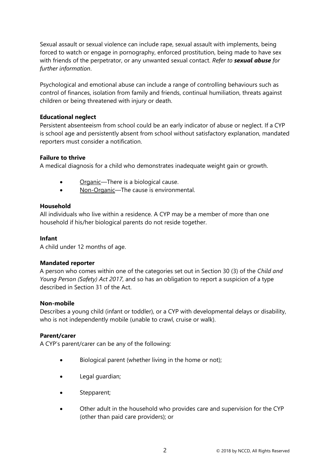Sexual assault or sexual violence can include rape, sexual assault with implements, being forced to watch or engage in pornography, enforced prostitution, being made to have sex with friends of the perpetrator, or any unwanted sexual contact. *Refer to sexual abuse for further information*.

Psychological and emotional abuse can include a range of controlling behaviours such as control of finances, isolation from family and friends, continual humiliation, threats against children or being threatened with injury or death.

#### **Educational neglect**

Persistent absenteeism from school could be an early indicator of abuse or neglect. If a CYP is school age and persistently absent from school without satisfactory explanation, mandated reporters must consider a notification.

## **Failure to thrive**

A medical diagnosis for a child who demonstrates inadequate weight gain or growth.

- Organic—There is a biological cause.
- Non-Organic—The cause is environmental.

#### **Household**

All individuals who live within a residence. A CYP may be a member of more than one household if his/her biological parents do not reside together.

#### **Infant**

A child under 12 months of age.

#### **Mandated reporter**

A person who comes within one of the categories set out in Section 30 (3) of the *Child and Young Person (Safety) Act 2017*, and so has an obligation to report a suspicion of a type described in Section 31 of the Act.

#### **Non-mobile**

Describes a young child (infant or toddler), or a CYP with developmental delays or disability, who is not independently mobile (unable to crawl, cruise or walk).

#### **Parent/carer**

A CYP's parent/carer can be any of the following:

- Biological parent (whether living in the home or not);
- Legal guardian;
- Stepparent;
- Other adult in the household who provides care and supervision for the CYP (other than paid care providers); or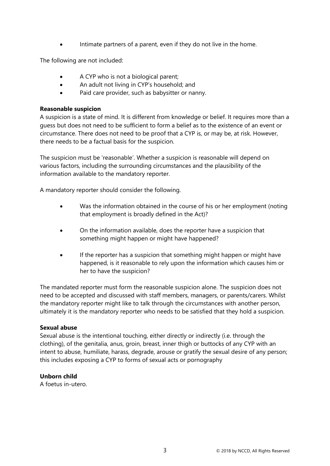• Intimate partners of a parent, even if they do not live in the home.

The following are not included:

- A CYP who is not a biological parent;
- An adult not living in CYP's household; and
- Paid care provider, such as babysitter or nanny.

# **Reasonable suspicion**

A suspicion is a state of mind. It is different from knowledge or belief. It requires more than a guess but does not need to be sufficient to form a belief as to the existence of an event or circumstance. There does not need to be proof that a CYP is, or may be, at risk. However, there needs to be a factual basis for the suspicion.

The suspicion must be 'reasonable'. Whether a suspicion is reasonable will depend on various factors, including the surrounding circumstances and the plausibility of the information available to the mandatory reporter.

A mandatory reporter should consider the following.

- Was the information obtained in the course of his or her employment (noting that employment is broadly defined in the Act)?
- On the information available, does the reporter have a suspicion that something might happen or might have happened?
- If the reporter has a suspicion that something might happen or might have happened, is it reasonable to rely upon the information which causes him or her to have the suspicion?

The mandated reporter must form the reasonable suspicion alone. The suspicion does not need to be accepted and discussed with staff members, managers, or parents/carers. Whilst the mandatory reporter might like to talk through the circumstances with another person, ultimately it is the mandatory reporter who needs to be satisfied that they hold a suspicion.

# **Sexual abuse**

Sexual abuse is the intentional touching, either directly or indirectly (i.e. through the clothing), of the genitalia, anus, groin, breast, inner thigh or buttocks of any CYP with an intent to abuse, humiliate, harass, degrade, arouse or gratify the sexual desire of any person; this includes exposing a CYP to forms of sexual acts or pornography

# **Unborn child**

A foetus in-utero.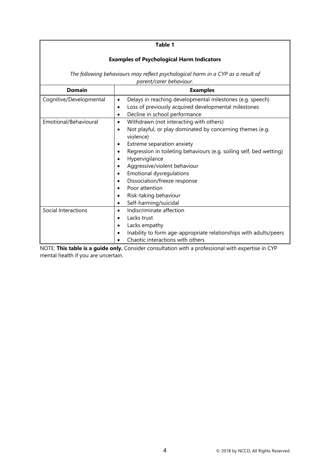#### **Table 1**

#### **Examples of Psychological Harm Indicators**

*The following behaviours may reflect psychological harm in a CYP as a result of parent/carer behaviour.*

| <b>Domain</b>           | <b>Examples</b>                                                                  |
|-------------------------|----------------------------------------------------------------------------------|
| Cognitive/Developmental | Delays in reaching developmental milestones (e.g. speech)<br>٠                   |
|                         | Loss of previously acquired developmental milestones<br>$\bullet$                |
|                         | Decline in school performance<br>٠                                               |
| Emotional/Behavioural   | Withdrawn (not interacting with others)<br>$\bullet$                             |
|                         | Not playful, or play dominated by concerning themes (e.g.<br>$\bullet$           |
|                         | violence)                                                                        |
|                         | Extreme separation anxiety<br>٠                                                  |
|                         | Regression in toileting behaviours (e.g. soiling self, bed wetting)<br>$\bullet$ |
|                         | Hypervigilance<br>٠                                                              |
|                         | Aggressive/violent behaviour<br>$\bullet$                                        |
|                         | <b>Emotional dysregulations</b><br>٠                                             |
|                         | Dissociation/freeze response                                                     |
|                         | Poor attention                                                                   |
|                         | Risk-taking behaviour<br>٠                                                       |
|                         | Self-harming/suicidal<br>٠                                                       |
| Social Interactions     | Indiscriminate affection<br>$\bullet$                                            |
|                         | Lacks trust<br>$\bullet$                                                         |
|                         | Lacks empathy<br>$\bullet$                                                       |
|                         | Inability to form age-appropriate relationships with adults/peers<br>$\bullet$   |
|                         | Chaotic interactions with others                                                 |

NOTE: **This table is a guide only.** Consider consultation with a professional with expertise in CYP mental health if you are uncertain.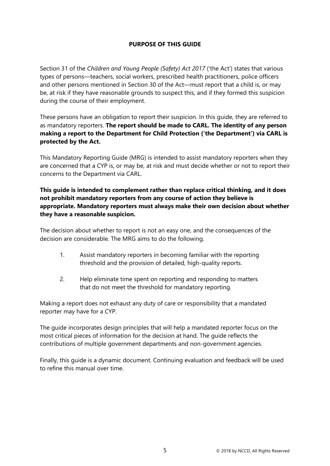# **PURPOSE OF THIS GUIDE**

<span id="page-9-0"></span>Section 31 of the *Children and Young People (Safety) Act 2017* ('the Act') states that various types of persons—teachers, social workers, prescribed health practitioners, police officers and other persons mentioned in Section 30 of the Act—must report that a child is, or may be, at risk if they have reasonable grounds to suspect this, and if they formed this suspicion during the course of their employment.

These persons have an obligation to report their suspicion. In this guide, they are referred to as mandatory reporters. **The report should be made to CARL. The identity of any person making a report to the Department for Child Protection ('the Department') via CARL is protected by the Act.**

This Mandatory Reporting Guide (MRG) is intended to assist mandatory reporters when they are concerned that a CYP is, or may be, at risk and must decide whether or not to report their concerns to the Department via CARL.

**This guide is intended to complement rather than replace critical thinking, and it does not prohibit mandatory reporters from any course of action they believe is appropriate. Mandatory reporters must always make their own decision about whether they have a reasonable suspicion.**

The decision about whether to report is not an easy one, and the consequences of the decision are considerable. The MRG aims to do the following.

- 1. Assist mandatory reporters in becoming familiar with the reporting threshold and the provision of detailed, high-quality reports.
- 2. Help eliminate time spent on reporting and responding to matters that do not meet the threshold for mandatory reporting.

Making a report does not exhaust any duty of care or responsibility that a mandated reporter may have for a CYP.

The guide incorporates design principles that will help a mandated reporter focus on the most critical pieces of information for the decision at hand. The guide reflects the contributions of multiple government departments and non-government agencies.

Finally, this guide is a dynamic document. Continuing evaluation and feedback will be used to refine this manual over time.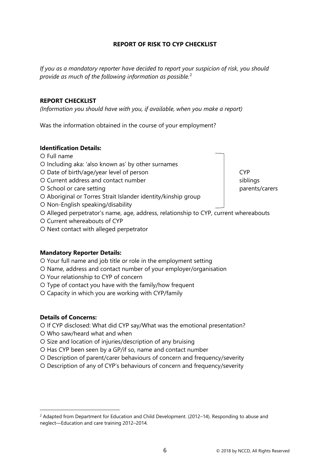# **REPORT OF RISK TO CYP CHECKLIST**

<span id="page-10-0"></span>*If you as a mandatory reporter have decided to report your suspicion of risk, you should provide as much of the following information as possible.*[2](#page-10-1)

#### **REPORT CHECKLIST**

*(Information you should have with you, if available, when you make a report)*

Was the information obtained in the course of your employment?

#### **Identification Details:**

- Full name
- O Including aka: 'also known as' by other surnames
- O Date of birth/age/year level of person and can compute the CYP
- O Current address and contact number siblings siblings
- O School or care setting parents/carers
- Aboriginal or Torres Strait Islander identity/kinship group
- O Non-English speaking/disability
- Alleged perpetrator's name, age, address, relationship to CYP, current whereabouts
- O Current whereabouts of CYP
- O Next contact with alleged perpetrator

#### **Mandatory Reporter Details:**

- Your full name and job title or role in the employment setting
- O Name, address and contact number of your employer/organisation
- Your relationship to CYP of concern
- Type of contact you have with the family/how frequent
- Capacity in which you are working with CYP/family

#### **Details of Concerns:**

- O If CYP disclosed: What did CYP say/What was the emotional presentation?
- Who saw/heard what and when
- O Size and location of injuries/description of any bruising
- O Has CYP been seen by a GP/if so, name and contact number
- Description of parent/carer behaviours of concern and frequency/severity
- Description of any of CYP's behaviours of concern and frequency/severity

<span id="page-10-1"></span><sup>&</sup>lt;sup>2</sup> Adapted from Department for Education and Child Development. (2012–14). Responding to abuse and neglect—Education and care training 2012–2014.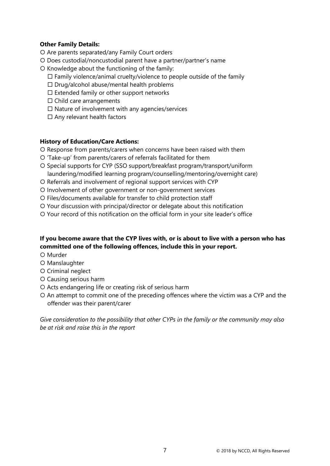# **Other Family Details:**

- Are parents separated/any Family Court orders
- Does custodial/noncustodial parent have a partner/partner's name
- $O$  Knowledge about the functioning of the family:
	- $\Box$  Family violence/animal cruelty/violence to people outside of the family
	- $\square$  Drug/alcohol abuse/mental health problems
	- $\square$  Extended family or other support networks
	- $\Box$  Child care arrangements
	- $\square$  Nature of involvement with any agencies/services
	- $\square$  Any relevant health factors

# **History of Education/Care Actions:**

- O Response from parents/carers when concerns have been raised with them
- 'Take-up' from parents/carers of referrals facilitated for them
- O Special supports for CYP (SSO support/breakfast program/transport/uniform laundering/modified learning program/counselling/mentoring/overnight care)
- O Referrals and involvement of regional support services with CYP
- O Involvement of other government or non-government services
- O Files/documents available for transfer to child protection staff
- Your discussion with principal/director or delegate about this notification
- Your record of this notification on the official form in your site leader's office

# **If you become aware that the CYP lives with, or is about to live with a person who has committed one of the following offences, include this in your report.**

- O Murder
- O Manslaughter
- Criminal neglect
- Causing serious harm
- O Acts endangering life or creating risk of serious harm
- O An attempt to commit one of the preceding offences where the victim was a CYP and the offender was their parent/carer

*Give consideration to the possibility that other CYPs in the family or the community may also be at risk and raise this in the report*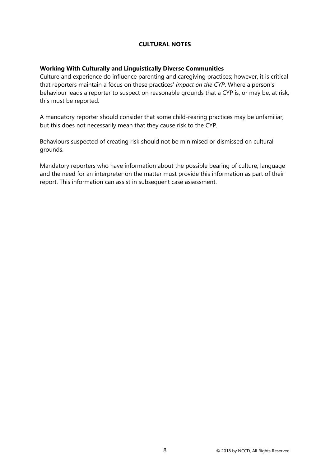# **CULTURAL NOTES**

## <span id="page-12-0"></span>**Working With Culturally and Linguistically Diverse Communities**

Culture and experience do influence parenting and caregiving practices; however, it is critical that reporters maintain a focus on these practices' *impact on the CYP*. Where a person's behaviour leads a reporter to suspect on reasonable grounds that a CYP is, or may be, at risk, this must be reported.

A mandatory reporter should consider that some child-rearing practices may be unfamiliar, but this does not necessarily mean that they cause risk to the CYP.

Behaviours suspected of creating risk should not be minimised or dismissed on cultural grounds.

Mandatory reporters who have information about the possible bearing of culture, language and the need for an interpreter on the matter must provide this information as part of their report. This information can assist in subsequent case assessment.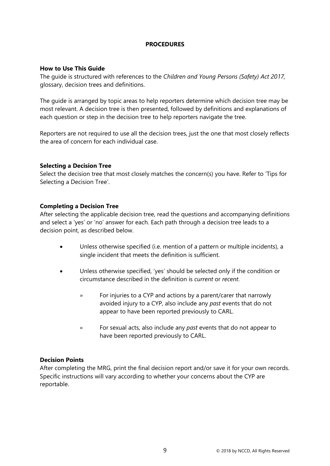## **PROCEDURES**

#### <span id="page-13-0"></span>**How to Use This Guide**

The guide is structured with references to the *Children and Young Persons (Safety) Act 2017,* glossary, decision trees and definitions.

The guide is arranged by topic areas to help reporters determine which decision tree may be most relevant. A decision tree is then presented, followed by definitions and explanations of each question or step in the decision tree to help reporters navigate the tree.

Reporters are not required to use all the decision trees, just the one that most closely reflects the area of concern for each individual case.

#### **Selecting a Decision Tree**

Select the decision tree that most closely matches the concern(s) you have. Refer to 'Tips for Selecting a Decision Tree'.

#### **Completing a Decision Tree**

After selecting the applicable decision tree, read the questions and accompanying definitions and select a 'yes' or 'no' answer for each. Each path through a decision tree leads to a decision point, as described below.

- Unless otherwise specified (i.e. mention of a pattern or multiple incidents), a single incident that meets the definition is sufficient.
- Unless otherwise specified, 'yes' should be selected only if the condition or circumstance described in the definition is *current* or *recent*.
	- » For injuries to a CYP and actions by a parent/carer that narrowly avoided injury to a CYP, also include any *past* events that do not appear to have been reported previously to CARL.
	- » For sexual acts, also include any *past* events that do not appear to have been reported previously to CARL.

#### **Decision Points**

After completing the MRG, print the final decision report and/or save it for your own records. Specific instructions will vary according to whether your concerns about the CYP are reportable.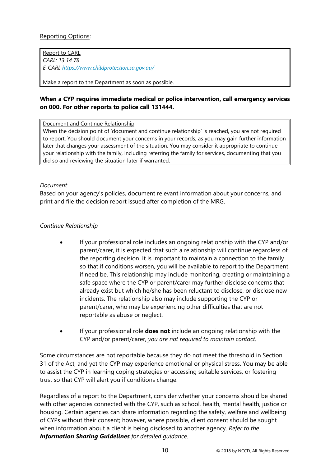Report to CARL *CARL: 13 14 78 E-CARL <https://www.childprotection.sa.gov.au/>*

Make a report to the Department as soon as possible.

# **When a CYP requires immediate medical or police intervention, call emergency services on 000. For other reports to police call 131444.**

Document and Continue Relationship

When the decision point of 'document and continue relationship' is reached, you are not required to report. You should document your concerns in your records, as you may gain further information later that changes your assessment of the situation. You may consider it appropriate to continue your relationship with the family, including referring the family for services, documenting that you did so and reviewing the situation later if warranted.

## *Document*

Based on your agency's policies, document relevant information about your concerns, and print and file the decision report issued after completion of the MRG.

# *Continue Relationship*

- If your professional role includes an ongoing relationship with the CYP and/or parent/carer, it is expected that such a relationship will continue regardless of the reporting decision. It is important to maintain a connection to the family so that if conditions worsen, you will be available to report to the Department if need be. This relationship may include monitoring, creating or maintaining a safe space where the CYP or parent/carer may further disclose concerns that already exist but which he/she has been reluctant to disclose, or disclose new incidents. The relationship also may include supporting the CYP or parent/carer, who may be experiencing other difficulties that are not reportable as abuse or neglect.
- If your professional role **does not** include an ongoing relationship with the CYP and/or parent/carer, *you are not required to maintain contact*.

Some circumstances are not reportable because they do not meet the threshold in Section 31 of the Act, and yet the CYP may experience emotional or physical stress. You may be able to assist the CYP in learning coping strategies or accessing suitable services, or fostering trust so that CYP will alert you if conditions change.

Regardless of a report to the Department, consider whether your concerns should be shared with other agencies connected with the CYP, such as school, health, mental health, justice or housing. Certain agencies can share information regarding the safety, welfare and wellbeing of CYPs without their consent; however, where possible, client consent should be sought when information about a client is being disclosed to another agency. *Refer to the Information Sharing Guidelines for detailed guidance*.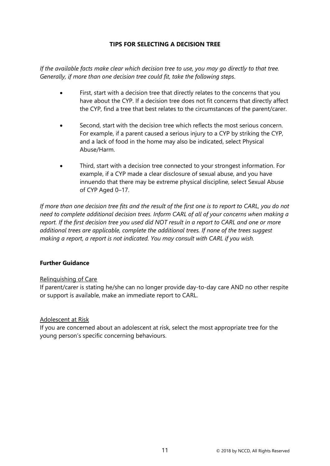# **TIPS FOR SELECTING A DECISION TREE**

<span id="page-15-0"></span>*If the available facts make clear which decision tree to use, you may go directly to that tree. Generally, if more than one decision tree could fit, take the following steps*.

- First, start with a decision tree that directly relates to the concerns that you have about the CYP. If a decision tree does not fit concerns that directly affect the CYP, find a tree that best relates to the circumstances of the parent/carer.
- Second, start with the decision tree which reflects the most serious concern. For example, if a parent caused a serious injury to a CYP by striking the CYP, and a lack of food in the home may also be indicated, select Physical Abuse/Harm.
- Third, start with a decision tree connected to your strongest information. For example, if a CYP made a clear disclosure of sexual abuse, and you have innuendo that there may be extreme physical discipline, select Sexual Abuse of CYP Aged 0–17.

*If more than one decision tree fits and the result of the first one is to report to CARL, you do not need to complete additional decision trees. Inform CARL of all of your concerns when making a report. If the first decision tree you used did NOT result in a report to CARL and one or more additional trees are applicable, complete the additional trees. If none of the trees suggest making a report, a report is not indicated. You may consult with CARL if you wish.* 

# **Further Guidance**

#### Relinquishing of Care

If parent/carer is stating he/she can no longer provide day-to-day care AND no other respite or support is available, make an immediate report to CARL.

#### Adolescent at Risk

If you are concerned about an adolescent at risk, select the most appropriate tree for the young person's specific concerning behaviours.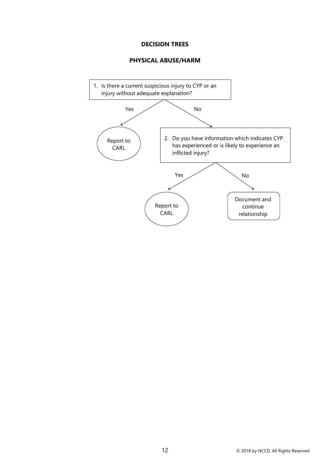#### **DECISION TREES**

#### **PHYSICAL ABUSE/HARM**

<span id="page-16-1"></span><span id="page-16-0"></span>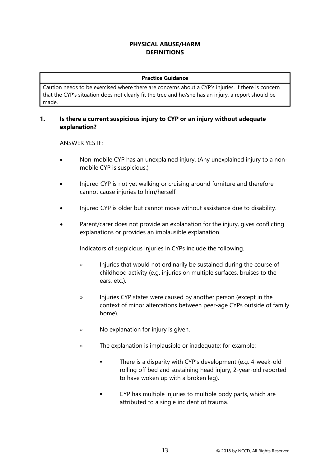# **PHYSICAL ABUSE/HARM DEFINITIONS**

#### **Practice Guidance**

<span id="page-17-0"></span>Caution needs to be exercised where there are concerns about a CYP's injuries. If there is concern that the CYP's situation does not clearly fit the tree and he/she has an injury, a report should be made.

## **1. Is there a current suspicious injury to CYP or an injury without adequate explanation?**

ANSWER YES IF:

- Non-mobile CYP has an unexplained injury. (Any unexplained injury to a nonmobile CYP is suspicious.)
- Injured CYP is not yet walking or cruising around furniture and therefore cannot cause injuries to him/herself.
- Injured CYP is older but cannot move without assistance due to disability.
- Parent/carer does not provide an explanation for the injury, gives conflicting explanations or provides an implausible explanation.

Indicators of suspicious injuries in CYPs include the following.

- » Injuries that would not ordinarily be sustained during the course of childhood activity (e.g. injuries on multiple surfaces, bruises to the ears, etc.).
- » Injuries CYP states were caused by another person (except in the context of minor altercations between peer-age CYPs outside of family home).
- » No explanation for injury is given.
- » The explanation is implausible or inadequate; for example:
	- **There is a disparity with CYP's development (e.g. 4-week-old** rolling off bed and sustaining head injury, 2-year-old reported to have woken up with a broken leg).
	- **•** CYP has multiple injuries to multiple body parts, which are attributed to a single incident of trauma.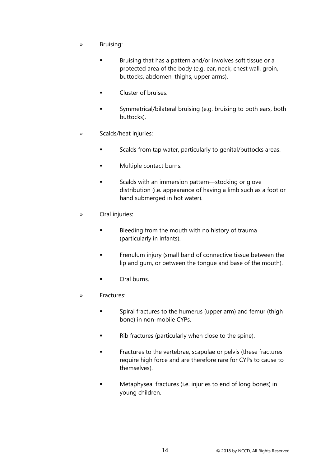- » Bruising:
	- **Bruising that has a pattern and/or involves soft tissue or a** protected area of the body (e.g. ear, neck, chest wall, groin, buttocks, abdomen, thighs, upper arms).
	- **Cluster of bruises.**
	- Symmetrical/bilateral bruising (e.g. bruising to both ears, both buttocks).
- » Scalds/heat injuries:
	- Scalds from tap water, particularly to genital/buttocks areas.
	- **Multiple contact burns.**
	- Scalds with an immersion pattern—stocking or glove distribution (i.e. appearance of having a limb such as a foot or hand submerged in hot water).
- » Oral injuries:
	- Bleeding from the mouth with no history of trauma (particularly in infants).
	- **Filter Frenulum injury (small band of connective tissue between the** lip and gum, or between the tongue and base of the mouth).
	- **Cal burns.**
- » Fractures:
	- Spiral fractures to the humerus (upper arm) and femur (thigh bone) in non-mobile CYPs.
	- Rib fractures (particularly when close to the spine).
	- Fractures to the vertebrae, scapulae or pelvis (these fractures require high force and are therefore rare for CYPs to cause to themselves).
	- **Metaphyseal fractures (i.e. injuries to end of long bones) in** young children.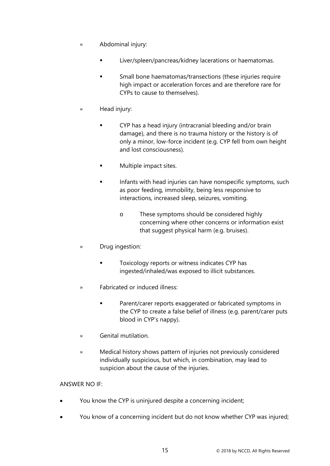- » Abdominal injury:
	- Liver/spleen/pancreas/kidney lacerations or haematomas.
	- Small bone haematomas/transections (these injuries require high impact or acceleration forces and are therefore rare for CYPs to cause to themselves).
- » Head injury:
	- CYP has a head injury (intracranial bleeding and/or brain damage), and there is no trauma history or the history is of only a minor, low-force incident (e.g. CYP fell from own height and lost consciousness).
	- **Multiple impact sites.**
	- Infants with head injuries can have nonspecific symptoms, such as poor feeding, immobility, being less responsive to interactions, increased sleep, seizures, vomiting.
		- o These symptoms should be considered highly concerning where other concerns or information exist that suggest physical harm (e.g. bruises).
- » Drug ingestion:
	- Toxicology reports or witness indicates CYP has ingested/inhaled/was exposed to illicit substances.
- » Fabricated or induced illness:
	- Parent/carer reports exaggerated or fabricated symptoms in the CYP to create a false belief of illness (e.g. parent/carer puts blood in CYP's nappy).
- » Genital mutilation.
- » Medical history shows pattern of injuries not previously considered individually suspicious, but which, in combination, may lead to suspicion about the cause of the injuries.

# ANSWER NO IF:

- You know the CYP is uninjured despite a concerning incident;
- You know of a concerning incident but do not know whether CYP was injured;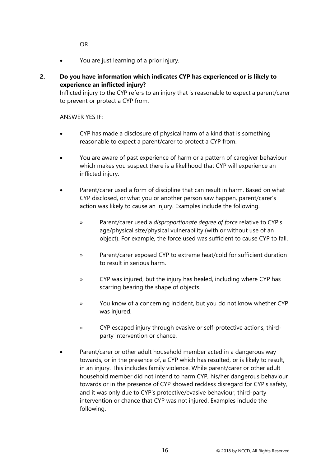OR

• You are just learning of a prior injury.

# **2. Do you have information which indicates CYP has experienced or is likely to experience an inflicted injury?**

Inflicted injury to the CYP refers to an injury that is reasonable to expect a parent/carer to prevent or protect a CYP from.

ANSWER YES IF:

- CYP has made a disclosure of physical harm of a kind that is something reasonable to expect a parent/carer to protect a CYP from.
- You are aware of past experience of harm or a pattern of caregiver behaviour which makes you suspect there is a likelihood that CYP will experience an inflicted injury.
- Parent/carer used a form of discipline that can result in harm. Based on what CYP disclosed, or what you or another person saw happen, parent/carer's action was likely to cause an injury. Examples include the following.
	- » Parent/carer used a *disproportionate degree of force* relative to CYP's age/physical size/physical vulnerability (with or without use of an object). For example, the force used was sufficient to cause CYP to fall.
	- » Parent/carer exposed CYP to extreme heat/cold for sufficient duration to result in serious harm.
	- » CYP was injured, but the injury has healed, including where CYP has scarring bearing the shape of objects.
	- » You know of a concerning incident, but you do not know whether CYP was injured.
	- » CYP escaped injury through evasive or self-protective actions, thirdparty intervention or chance.
- Parent/carer or other adult household member acted in a dangerous way towards, or in the presence of, a CYP which has resulted, or is likely to result, in an injury. This includes family violence. While parent/carer or other adult household member did not intend to harm CYP, his/her dangerous behaviour towards or in the presence of CYP showed reckless disregard for CYP's safety, and it was only due to CYP's protective/evasive behaviour, third-party intervention or chance that CYP was not injured. Examples include the following.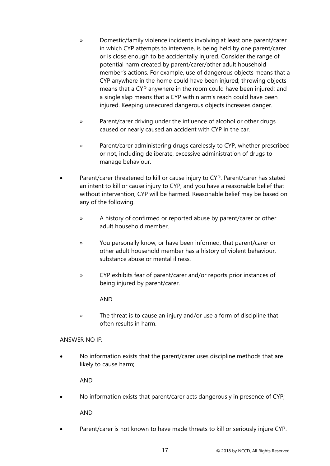- » Domestic/family violence incidents involving at least one parent/carer in which CYP attempts to intervene, is being held by one parent/carer or is close enough to be accidentally injured. Consider the range of potential harm created by parent/carer/other adult household member's actions. For example, use of dangerous objects means that a CYP anywhere in the home could have been injured; throwing objects means that a CYP anywhere in the room could have been injured; and a single slap means that a CYP within arm's reach could have been injured. Keeping unsecured dangerous objects increases danger.
- » Parent/carer driving under the influence of alcohol or other drugs caused or nearly caused an accident with CYP in the car.
- » Parent/carer administering drugs carelessly to CYP, whether prescribed or not, including deliberate, excessive administration of drugs to manage behaviour.
- Parent/carer threatened to kill or cause injury to CYP. Parent/carer has stated an intent to kill or cause injury to CYP, and you have a reasonable belief that without intervention, CYP will be harmed. Reasonable belief may be based on any of the following.
	- » A history of confirmed or reported abuse by parent/carer or other adult household member.
	- » You personally know, or have been informed, that parent/carer or other adult household member has a history of violent behaviour, substance abuse or mental illness.
	- » CYP exhibits fear of parent/carer and/or reports prior instances of being injured by parent/carer.

AND

» The threat is to cause an injury and/or use a form of discipline that often results in harm.

# ANSWER NO IF:

• No information exists that the parent/carer uses discipline methods that are likely to cause harm;

AND

- No information exists that parent/carer acts dangerously in presence of CYP; AND
- Parent/carer is not known to have made threats to kill or seriously injure CYP.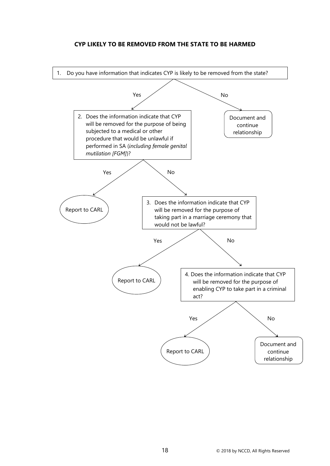# **CYP LIKELY TO BE REMOVED FROM THE STATE TO BE HARMED**

<span id="page-22-0"></span>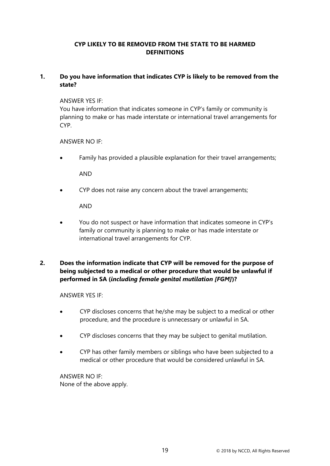# **CYP LIKELY TO BE REMOVED FROM THE STATE TO BE HARMED DEFINITIONS**

## <span id="page-23-0"></span>**1. Do you have information that indicates CYP is likely to be removed from the state?**

#### ANSWER YES IF:

You have information that indicates someone in CYP's family or community is planning to make or has made interstate or international travel arrangements for CYP.

## ANSWER NO IF:

Family has provided a plausible explanation for their travel arrangements;

AND

• CYP does not raise any concern about the travel arrangements;

AND

• You do not suspect or have information that indicates someone in CYP's family or community is planning to make or has made interstate or international travel arrangements for CYP.

# **2. Does the information indicate that CYP will be removed for the purpose of being subjected to a medical or other procedure that would be unlawful if performed in SA (***including female genital mutilation [FGM]***)?**

#### ANSWER YES IF:

- CYP discloses concerns that he/she may be subject to a medical or other procedure, and the procedure is unnecessary or unlawful in SA.
- CYP discloses concerns that they may be subject to genital mutilation.
- CYP has other family members or siblings who have been subjected to a medical or other procedure that would be considered unlawful in SA.

ANSWER NO IF: None of the above apply.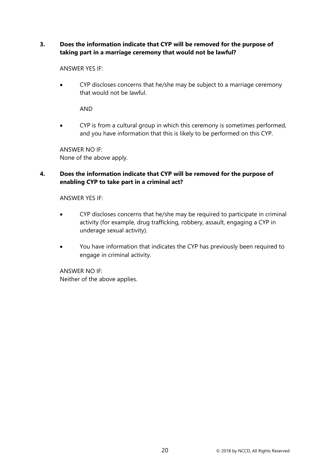# **3. Does the information indicate that CYP will be removed for the purpose of taking part in a marriage ceremony that would not be lawful?**

ANSWER YES IF:

• CYP discloses concerns that he/she may be subject to a marriage ceremony that would not be lawful.

AND

• CYP is from a cultural group in which this ceremony is sometimes performed, and you have information that this is likely to be performed on this CYP.

ANSWER NO IF: None of the above apply.

# **4. Does the information indicate that CYP will be removed for the purpose of enabling CYP to take part in a criminal act?**

ANSWER YES IF:

- CYP discloses concerns that he/she may be required to participate in criminal activity (for example, drug trafficking, robbery, assault, engaging a CYP in underage sexual activity).
- You have information that indicates the CYP has previously been required to engage in criminal activity.

ANSWER NO IF: Neither of the above applies.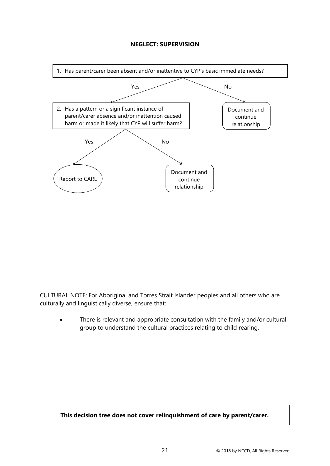## **NEGLECT: SUPERVISION**

<span id="page-25-0"></span>

CULTURAL NOTE: For Aboriginal and Torres Strait Islander peoples and all others who are culturally and linguistically diverse, ensure that:

There is relevant and appropriate consultation with the family and/or cultural group to understand the cultural practices relating to child rearing.

**This decision tree does not cover relinquishment of care by parent/carer.**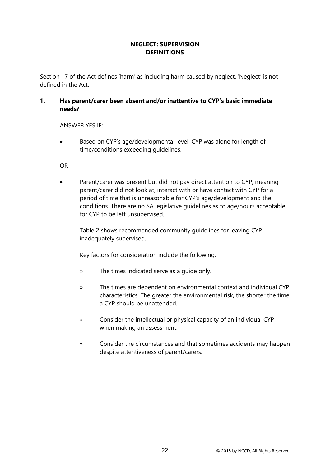# **NEGLECT: SUPERVISION DEFINITIONS**

<span id="page-26-0"></span>Section 17 of the Act defines 'harm' as including harm caused by neglect. 'Neglect' is not defined in the Act.

# **1. Has parent/carer been absent and/or inattentive to CYP's basic immediate needs?**

ANSWER YES IF:

• Based on CYP's age/developmental level, CYP was alone for length of time/conditions exceeding guidelines.

OR

Parent/carer was present but did not pay direct attention to CYP, meaning parent/carer did not look at, interact with or have contact with CYP for a period of time that is unreasonable for CYP's age/development and the conditions. There are no SA legislative guidelines as to age/hours acceptable for CYP to be left unsupervised.

Table 2 shows recommended community guidelines for leaving CYP inadequately supervised.

Key factors for consideration include the following.

- » The times indicated serve as a guide only.
- » The times are dependent on environmental context and individual CYP characteristics. The greater the environmental risk, the shorter the time a CYP should be unattended.
- » Consider the intellectual or physical capacity of an individual CYP when making an assessment.
- » Consider the circumstances and that sometimes accidents may happen despite attentiveness of parent/carers.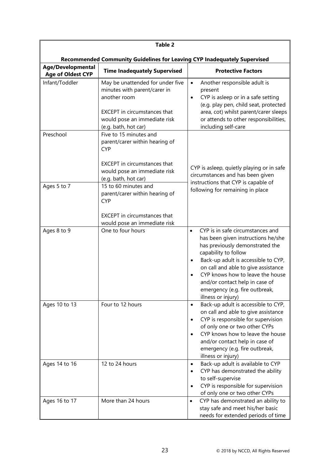| <b>Table 2</b>                                |                                                                                                                                                                                 |                                                                                                                                                                                                                                                                                                                                                                 |  |  |
|-----------------------------------------------|---------------------------------------------------------------------------------------------------------------------------------------------------------------------------------|-----------------------------------------------------------------------------------------------------------------------------------------------------------------------------------------------------------------------------------------------------------------------------------------------------------------------------------------------------------------|--|--|
|                                               | Recommended Community Guidelines for Leaving CYP Inadequately Supervised                                                                                                        |                                                                                                                                                                                                                                                                                                                                                                 |  |  |
| Age/Developmental<br><b>Age of Oldest CYP</b> | <b>Time Inadequately Supervised</b>                                                                                                                                             | <b>Protective Factors</b>                                                                                                                                                                                                                                                                                                                                       |  |  |
| Infant/Toddler                                | May be unattended for under five<br>minutes with parent/carer in<br>another room<br><b>EXCEPT</b> in circumstances that<br>would pose an immediate risk<br>(e.g. bath, hot car) | Another responsible adult is<br>$\bullet$<br>present<br>CYP is asleep or in a safe setting<br>$\bullet$<br>(e.g. play pen, child seat, protected<br>area, cot) whilst parent/carer sleeps<br>or attends to other responsibilities,<br>including self-care                                                                                                       |  |  |
| Preschool                                     | Five to 15 minutes and<br>parent/carer within hearing of<br><b>CYP</b><br><b>EXCEPT</b> in circumstances that<br>would pose an immediate risk<br>(e.g. bath, hot car)           | CYP is asleep, quietly playing or in safe<br>circumstances and has been given                                                                                                                                                                                                                                                                                   |  |  |
| Ages 5 to 7                                   | 15 to 60 minutes and<br>parent/carer within hearing of<br><b>CYP</b><br><b>EXCEPT</b> in circumstances that<br>would pose an immediate risk                                     | instructions that CYP is capable of<br>following for remaining in place                                                                                                                                                                                                                                                                                         |  |  |
| Ages 8 to 9                                   | One to four hours                                                                                                                                                               | CYP is in safe circumstances and<br>$\bullet$<br>has been given instructions he/she<br>has previously demonstrated the<br>capability to follow<br>Back-up adult is accessible to CYP,<br>٠<br>on call and able to give assistance<br>CYP knows how to leave the house<br>and/or contact help in case of<br>emergency (e.g. fire outbreak,<br>illness or injury) |  |  |
| Ages 10 to 13                                 | Four to 12 hours                                                                                                                                                                | Back-up adult is accessible to CYP,<br>$\bullet$<br>on call and able to give assistance<br>CYP is responsible for supervision<br>٠<br>of only one or two other CYPs<br>CYP knows how to leave the house<br>and/or contact help in case of<br>emergency (e.g. fire outbreak,<br>illness or injury)                                                               |  |  |
| Ages 14 to 16                                 | 12 to 24 hours                                                                                                                                                                  | Back-up adult is available to CYP<br>٠<br>CYP has demonstrated the ability<br>$\bullet$<br>to self-supervise<br>CYP is responsible for supervision<br>$\bullet$<br>of only one or two other CYPs                                                                                                                                                                |  |  |
| Ages 16 to 17                                 | More than 24 hours                                                                                                                                                              | CYP has demonstrated an ability to<br>$\bullet$<br>stay safe and meet his/her basic<br>needs for extended periods of time                                                                                                                                                                                                                                       |  |  |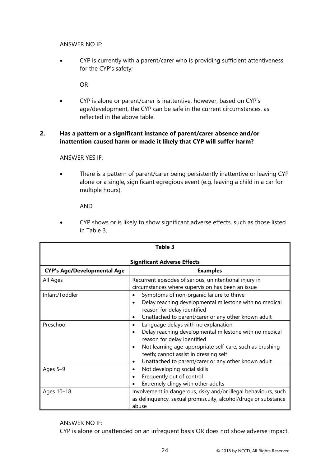ANSWER NO IF:

• CYP is currently with a parent/carer who is providing sufficient attentiveness for the CYP's safety;

OR

• CYP is alone or parent/carer is inattentive; however, based on CYP's age/development, the CYP can be safe in the current circumstances, as reflected in the above table.

# **2. Has a pattern or a significant instance of parent/carer absence and/or inattention caused harm or made it likely that CYP will suffer harm?**

ANSWER YES IF:

• There is a pattern of parent/carer being persistently inattentive or leaving CYP alone or a single, significant egregious event (e.g. leaving a child in a car for multiple hours).

AND

• CYP shows or is likely to show significant adverse effects, such as those listed in Table 3.

| Table 3                            |                                                                                                                                                                                                                                                                                                       |  |  |  |
|------------------------------------|-------------------------------------------------------------------------------------------------------------------------------------------------------------------------------------------------------------------------------------------------------------------------------------------------------|--|--|--|
| <b>Significant Adverse Effects</b> |                                                                                                                                                                                                                                                                                                       |  |  |  |
| <b>CYP's Age/Developmental Age</b> | <b>Examples</b>                                                                                                                                                                                                                                                                                       |  |  |  |
| All Ages                           | Recurrent episodes of serious, unintentional injury in<br>circumstances where supervision has been an issue                                                                                                                                                                                           |  |  |  |
| Infant/Toddler                     | Symptoms of non-organic failure to thrive<br>Delay reaching developmental milestone with no medical<br>reason for delay identified<br>Unattached to parent/carer or any other known adult<br>$\bullet$                                                                                                |  |  |  |
| Preschool                          | Language delays with no explanation<br>$\bullet$<br>Delay reaching developmental milestone with no medical<br>reason for delay identified<br>Not learning age-appropriate self-care, such as brushing<br>teeth; cannot assist in dressing self<br>Unattached to parent/carer or any other known adult |  |  |  |
| Ages 5-9                           | Not developing social skills<br>٠<br>Frequently out of control<br>Extremely clingy with other adults                                                                                                                                                                                                  |  |  |  |
| Ages 10-18                         | Involvement in dangerous, risky and/or illegal behaviours, such<br>as delinquency, sexual promiscuity, alcohol/drugs or substance<br>abuse                                                                                                                                                            |  |  |  |

# ANSWER NO IF:

CYP is alone or unattended on an infrequent basis OR does not show adverse impact.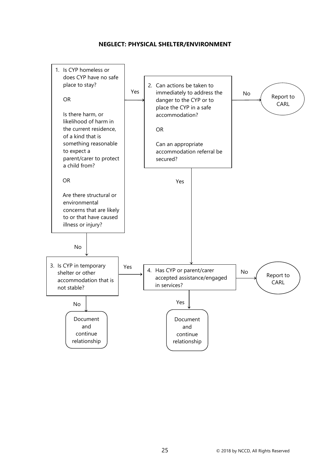#### **NEGLECT: PHYSICAL SHELTER/ENVIRONMENT**

<span id="page-29-0"></span>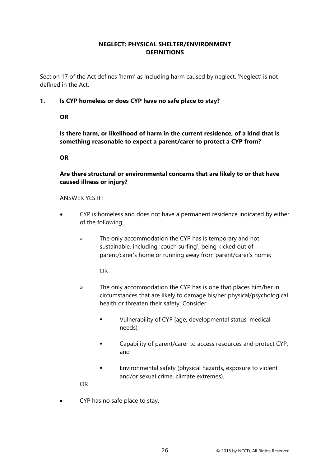# **NEGLECT: PHYSICAL SHELTER/ENVIRONMENT DEFINITIONS**

<span id="page-30-0"></span>Section 17 of the Act defines 'harm' as including harm caused by neglect. 'Neglect' is not defined in the Act.

**1. Is CYP homeless or does CYP have no safe place to stay?** 

**OR**

**Is there harm, or likelihood of harm in the current residence, of a kind that is something reasonable to expect a parent/carer to protect a CYP from?**

**OR**

# **Are there structural or environmental concerns that are likely to or that have caused illness or injury?**

## ANSWER YES IF:

- CYP is homeless and does not have a permanent residence indicated by either of the following.
	- » The only accommodation the CYP has is temporary and not sustainable, including 'couch surfing', being kicked out of parent/carer's home or running away from parent/carer's home;

OR

- » The only accommodation the CYP has is one that places him/her in circumstances that are likely to damage his/her physical/psychological health or threaten their safety. Consider:
	- Vulnerability of CYP (age, developmental status, medical needs);
	- **EXECO** Capability of parent/carer to access resources and protect CYP; and
	- **Environmental safety (physical hazards, exposure to violent** and/or sexual crime, climate extremes).

OR

• CYP has no safe place to stay.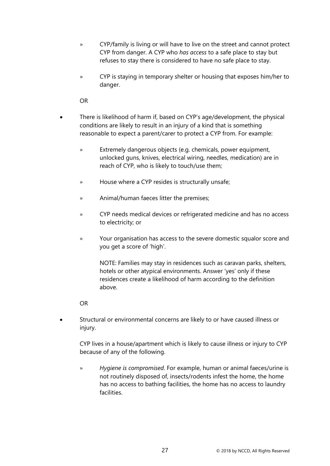- » CYP/family is living or will have to live on the street and cannot protect CYP from danger. A CYP who *has access* to a safe place to stay but refuses to stay there is considered to have no safe place to stay.
- » CYP is staying in temporary shelter or housing that exposes him/her to danger.

OR

- There is likelihood of harm if, based on CYP's age/development, the physical conditions are likely to result in an injury of a kind that is something reasonable to expect a parent/carer to protect a CYP from. For example:
	- » Extremely dangerous objects (e.g. chemicals, power equipment, unlocked guns, knives, electrical wiring, needles, medication) are in reach of CYP, who is likely to touch/use them;
	- » House where a CYP resides is structurally unsafe;
	- » Animal/human faeces litter the premises;
	- » CYP needs medical devices or refrigerated medicine and has no access to electricity; or
	- » Your organisation has access to the severe domestic squalor score and you get a score of 'high'.

NOTE: Families may stay in residences such as caravan parks, shelters, hotels or other atypical environments. Answer 'yes' only if these residences create a likelihood of harm according to the definition above.

#### OR

• Structural or environmental concerns are likely to or have caused illness or injury.

CYP lives in a house/apartment which is likely to cause illness or injury to CYP because of any of the following.

» *Hygiene is compromised*. For example, human or animal faeces/urine is not routinely disposed of, insects/rodents infest the home, the home has no access to bathing facilities, the home has no access to laundry facilities.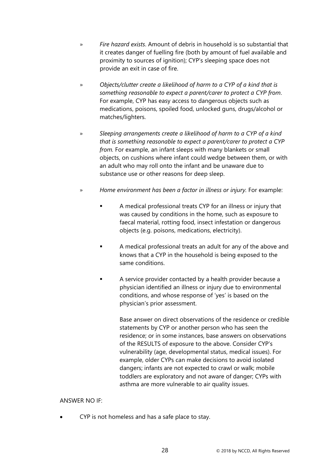- » *Fire hazard exists*. Amount of debris in household is so substantial that it creates danger of fuelling fire (both by amount of fuel available and proximity to sources of ignition); CYP's sleeping space does not provide an exit in case of fire.
- » *Objects/clutter create a likelihood of harm to a CYP of a kind that is something reasonable to expect a parent/carer to protect a CYP from*. For example, CYP has easy access to dangerous objects such as medications, poisons, spoiled food, unlocked guns, drugs/alcohol or matches/lighters.
- » *Sleeping arrangements create a likelihood of harm to a CYP of a kind that is something reasonable to expect a parent/carer to protect a CYP from.* For example, an infant sleeps with many blankets or small objects, on cushions where infant could wedge between them, or with an adult who may roll onto the infant and be unaware due to substance use or other reasons for deep sleep.
- » *Home environment has been a factor in illness or injury.* For example:
	- A medical professional treats CYP for an illness or injury that was caused by conditions in the home, such as exposure to faecal material, rotting food, insect infestation or dangerous objects (e.g. poisons, medications, electricity).
	- A medical professional treats an adult for any of the above and knows that a CYP in the household is being exposed to the same conditions.
	- A service provider contacted by a health provider because a physician identified an illness or injury due to environmental conditions, and whose response of 'yes' is based on the physician's prior assessment.

Base answer on direct observations of the residence or credible statements by CYP or another person who has seen the residence; or in some instances, base answers on observations of the RESULTS of exposure to the above. Consider CYP's vulnerability (age, developmental status, medical issues). For example, older CYPs can make decisions to avoid isolated dangers; infants are not expected to crawl or walk; mobile toddlers are exploratory and not aware of danger; CYPs with asthma are more vulnerable to air quality issues.

#### ANSWER NO IF:

• CYP is not homeless and has a safe place to stay.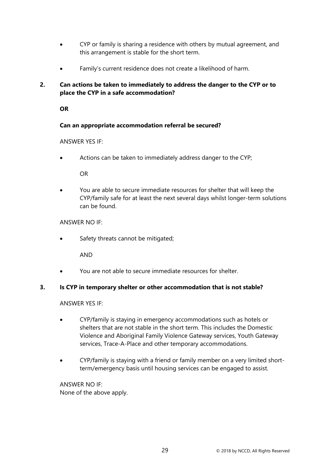- CYP or family is sharing a residence with others by mutual agreement, and this arrangement is stable for the short term.
- Family's current residence does not create a likelihood of harm.

# **2. Can actions be taken to immediately to address the danger to the CYP or to place the CYP in a safe accommodation?**

**OR**

## **Can an appropriate accommodation referral be secured?**

#### ANSWER YES IF:

Actions can be taken to immediately address danger to the CYP;

OR

• You are able to secure immediate resources for shelter that will keep the CYP/family safe for at least the next several days whilst longer-term solutions can be found.

#### ANSWER NO IF:

Safety threats cannot be mitigated;

AND

• You are not able to secure immediate resources for shelter.

#### **3. Is CYP in temporary shelter or other accommodation that is not stable?**

ANSWER YES IF:

- CYP/family is staying in emergency accommodations such as hotels or shelters that are not stable in the short term. This includes the Domestic Violence and Aboriginal Family Violence Gateway services, Youth Gateway services, Trace-A-Place and other temporary accommodations.
- CYP/family is staying with a friend or family member on a very limited shortterm/emergency basis until housing services can be engaged to assist.

ANSWER NO IF: None of the above apply.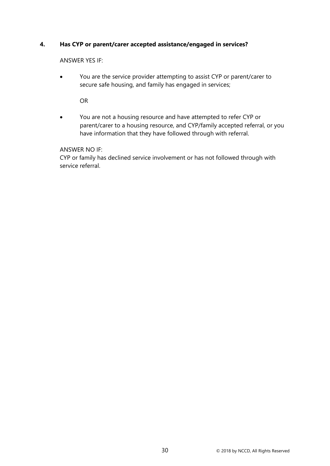## **4. Has CYP or parent/carer accepted assistance/engaged in services?**

ANSWER YES IF:

• You are the service provider attempting to assist CYP or parent/carer to secure safe housing, and family has engaged in services;

OR

• You are not a housing resource and have attempted to refer CYP or parent/carer to a housing resource, and CYP/family accepted referral, or you have information that they have followed through with referral.

ANSWER NO IF:

CYP or family has declined service involvement or has not followed through with service referral.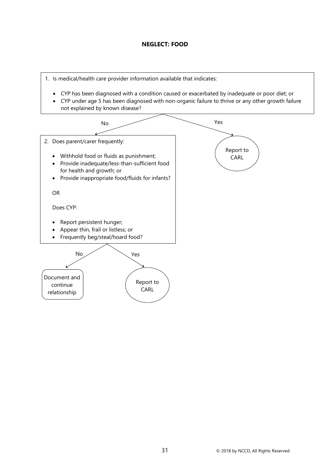## **NEGLECT: FOOD**

<span id="page-35-0"></span>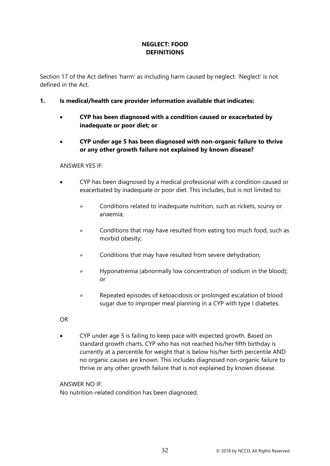# **NEGLECT: FOOD DEFINITIONS**

Section 17 of the Act defines 'harm' as including harm caused by neglect. 'Neglect' is not defined in the Act.

- **1. Is medical/health care provider information available that indicates:**
	- **CYP has been diagnosed with a condition caused or exacerbated by inadequate or poor diet; or**
	- **CYP under age 5 has been diagnosed with non-organic failure to thrive or any other growth failure not explained by known disease?**

## ANSWER YES IF:

- CYP has been diagnosed by a medical professional with a condition caused or exacerbated by inadequate or poor diet. This includes, but is not limited to:
	- » Conditions related to inadequate nutrition, such as rickets, scurvy or anaemia;
	- » Conditions that may have resulted from eating too much food, such as morbid obesity;
	- » Conditions that may have resulted from severe dehydration;
	- » Hyponatremia (abnormally low concentration of sodium in the blood); or
	- » Repeated episodes of ketoacidosis or prolonged escalation of blood sugar due to improper meal planning in a CYP with type I diabetes.
- OR
- CYP under age 5 is failing to keep pace with expected growth. Based on standard growth charts, CYP who has not reached his/her fifth birthday is currently at a percentile for weight that is below his/her birth percentile AND no organic causes are known. This includes diagnosed non-organic failure to thrive or any other growth failure that is not explained by known disease.

## ANSWER NO IF:

No nutrition-related condition has been diagnosed.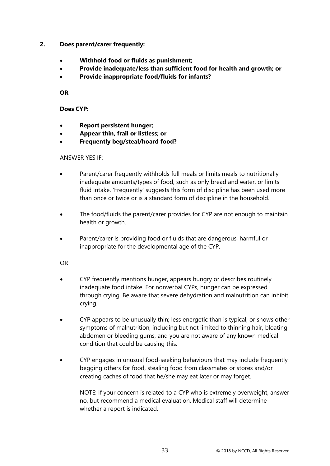- **2. Does parent/carer frequently:**
	- **Withhold food or fluids as punishment;**
	- **Provide inadequate/less than sufficient food for health and growth; or**
	- **Provide inappropriate food/fluids for infants?**

**OR**

**Does CYP:**

- **Report persistent hunger;**
- **Appear thin, frail or listless; or**
- **Frequently beg/steal/hoard food?**

ANSWER YES IF:

- Parent/carer frequently withholds full meals or limits meals to nutritionally inadequate amounts/types of food, such as only bread and water, or limits fluid intake. 'Frequently' suggests this form of discipline has been used more than once or twice or is a standard form of discipline in the household.
- The food/fluids the parent/carer provides for CYP are not enough to maintain health or growth.
- Parent/carer is providing food or fluids that are dangerous, harmful or inappropriate for the developmental age of the CYP.

OR

- CYP frequently mentions hunger, appears hungry or describes routinely inadequate food intake. For nonverbal CYPs, hunger can be expressed through crying. Be aware that severe dehydration and malnutrition can inhibit crying.
- CYP appears to be unusually thin; less energetic than is typical; or shows other symptoms of malnutrition, including but not limited to thinning hair, bloating abdomen or bleeding gums, and you are not aware of any known medical condition that could be causing this.
- CYP engages in unusual food-seeking behaviours that may include frequently begging others for food, stealing food from classmates or stores and/or creating caches of food that he/she may eat later or may forget.

NOTE: If your concern is related to a CYP who is extremely overweight, answer no, but recommend a medical evaluation. Medical staff will determine whether a report is indicated.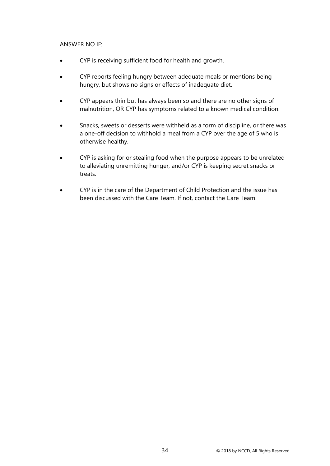## ANSWER NO IF:

- CYP is receiving sufficient food for health and growth.
- CYP reports feeling hungry between adequate meals or mentions being hungry, but shows no signs or effects of inadequate diet.
- CYP appears thin but has always been so and there are no other signs of malnutrition, OR CYP has symptoms related to a known medical condition.
- Snacks, sweets or desserts were withheld as a form of discipline, or there was a one-off decision to withhold a meal from a CYP over the age of 5 who is otherwise healthy.
- CYP is asking for or stealing food when the purpose appears to be unrelated to alleviating unremitting hunger, and/or CYP is keeping secret snacks or treats.
- CYP is in the care of the Department of Child Protection and the issue has been discussed with the Care Team. If not, contact the Care Team.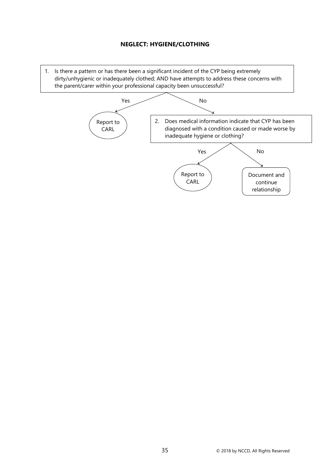## **NEGLECT: HYGIENE/CLOTHING**

1. Is there a pattern or has there been a significant incident of the CYP being extremely dirty/unhygienic or inadequately clothed; AND have attempts to address these concerns with the parent/carer within your professional capacity been unsuccessful?

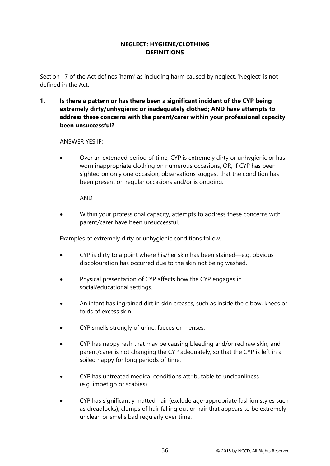# **NEGLECT: HYGIENE/CLOTHING DEFINITIONS**

Section 17 of the Act defines 'harm' as including harm caused by neglect. 'Neglect' is not defined in the Act.

**1. Is there a pattern or has there been a significant incident of the CYP being extremely dirty/unhygienic or inadequately clothed; AND have attempts to address these concerns with the parent/carer within your professional capacity been unsuccessful?**

### ANSWER YES IF:

• Over an extended period of time, CYP is extremely dirty or unhygienic or has worn inappropriate clothing on numerous occasions; OR, if CYP has been sighted on only one occasion, observations suggest that the condition has been present on regular occasions and/or is ongoing.

## AND

• Within your professional capacity, attempts to address these concerns with parent/carer have been unsuccessful.

Examples of extremely dirty or unhygienic conditions follow.

- CYP is dirty to a point where his/her skin has been stained—e.g. obvious discolouration has occurred due to the skin not being washed.
- Physical presentation of CYP affects how the CYP engages in social/educational settings.
- An infant has ingrained dirt in skin creases, such as inside the elbow, knees or folds of excess skin.
- CYP smells strongly of urine, faeces or menses.
- CYP has nappy rash that may be causing bleeding and/or red raw skin; and parent/carer is not changing the CYP adequately, so that the CYP is left in a soiled nappy for long periods of time.
- CYP has untreated medical conditions attributable to uncleanliness (e.g. impetigo or scabies).
- CYP has significantly matted hair (exclude age-appropriate fashion styles such as dreadlocks), clumps of hair falling out or hair that appears to be extremely unclean or smells bad regularly over time.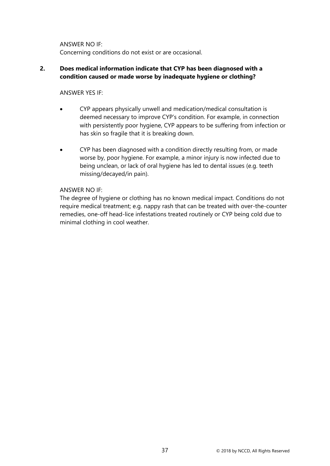ANSWER NO IF: Concerning conditions do not exist or are occasional.

# **2. Does medical information indicate that CYP has been diagnosed with a condition caused or made worse by inadequate hygiene or clothing?**

### ANSWER YES IF:

- CYP appears physically unwell and medication/medical consultation is deemed necessary to improve CYP's condition. For example, in connection with persistently poor hygiene, CYP appears to be suffering from infection or has skin so fragile that it is breaking down.
- CYP has been diagnosed with a condition directly resulting from, or made worse by, poor hygiene. For example, a minor injury is now infected due to being unclean, or lack of oral hygiene has led to dental issues (e.g. teeth missing/decayed/in pain).

### ANSWER NO IF:

The degree of hygiene or clothing has no known medical impact. Conditions do not require medical treatment; e.g. nappy rash that can be treated with over-the-counter remedies, one-off head-lice infestations treated routinely or CYP being cold due to minimal clothing in cool weather.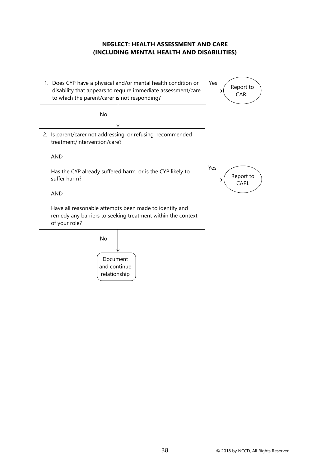## **NEGLECT: HEALTH ASSESSMENT AND CARE (INCLUDING MENTAL HEALTH AND DISABILITIES)**

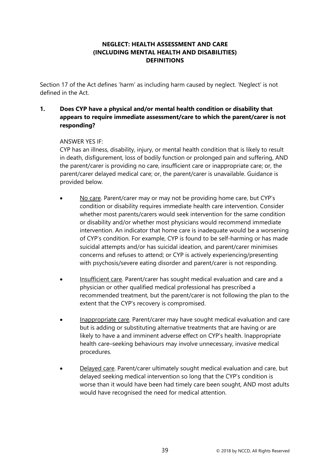# **NEGLECT: HEALTH ASSESSMENT AND CARE (INCLUDING MENTAL HEALTH AND DISABILITIES) DEFINITIONS**

Section 17 of the Act defines 'harm' as including harm caused by neglect. 'Neglect' is not defined in the Act.

# **1. Does CYP have a physical and/or mental health condition or disability that appears to require immediate assessment/care to which the parent/carer is not responding?**

# ANSWER YES IF:

CYP has an illness, disability, injury, or mental health condition that is likely to result in death, disfigurement, loss of bodily function or prolonged pain and suffering, AND the parent/carer is providing no care, insufficient care or inappropriate care; or, the parent/carer delayed medical care; or, the parent/carer is unavailable. Guidance is provided below.

- No care. Parent/carer may or may not be providing home care, but CYP's condition or disability requires immediate health care intervention. Consider whether most parents/carers would seek intervention for the same condition or disability and/or whether most physicians would recommend immediate intervention. An indicator that home care is inadequate would be a worsening of CYP's condition. For example, CYP is found to be self-harming or has made suicidal attempts and/or has suicidal ideation, and parent/carer minimises concerns and refuses to attend; or CYP is actively experiencing/presenting with psychosis/severe eating disorder and parent/carer is not responding.
- Insufficient care. Parent/carer has sought medical evaluation and care and a physician or other qualified medical professional has prescribed a recommended treatment, but the parent/carer is not following the plan to the extent that the CYP's recovery is compromised.
- Inappropriate care. Parent/carer may have sought medical evaluation and care but is adding or substituting alternative treatments that are having or are likely to have a and imminent adverse effect on CYP's health. Inappropriate health care–seeking behaviours may involve unnecessary, invasive medical procedures.
- Delayed care. Parent/carer ultimately sought medical evaluation and care, but delayed seeking medical intervention so long that the CYP's condition is worse than it would have been had timely care been sought, AND most adults would have recognised the need for medical attention.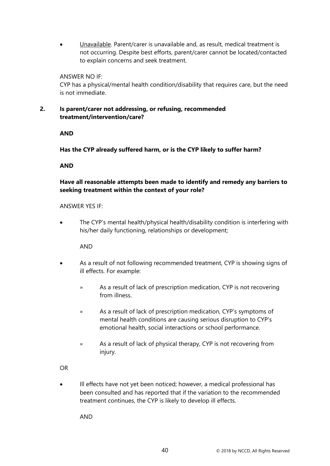• Unavailable. Parent/carer is unavailable and, as result, medical treatment is not occurring. Despite best efforts, parent/carer cannot be located/contacted to explain concerns and seek treatment.

### ANSWER NO IF:

CYP has a physical/mental health condition/disability that requires care, but the need is not immediate.

## **2. Is parent/carer not addressing, or refusing, recommended treatment/intervention/care?**

## **AND**

**Has the CYP already suffered harm, or is the CYP likely to suffer harm?**

## **AND**

# **Have all reasonable attempts been made to identify and remedy any barriers to seeking treatment within the context of your role?**

### ANSWER YES IF:

• The CYP's mental health/physical health/disability condition is interfering with his/her daily functioning, relationships or development;

AND

- As a result of not following recommended treatment, CYP is showing signs of ill effects. For example:
	- » As a result of lack of prescription medication, CYP is not recovering from illness.
	- » As a result of lack of prescription medication, CYP's symptoms of mental health conditions are causing serious disruption to CYP's emotional health, social interactions or school performance.
	- » As a result of lack of physical therapy, CYP is not recovering from injury.

OR

• Ill effects have not yet been noticed; however, a medical professional has been consulted and has reported that if the variation to the recommended treatment continues, the CYP is likely to develop ill effects.

AND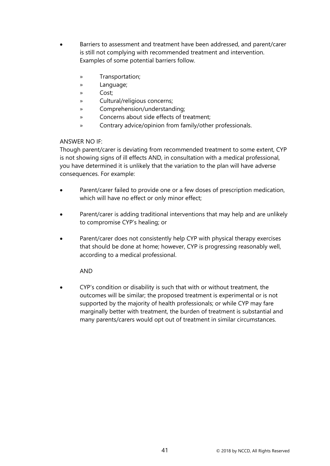- Barriers to assessment and treatment have been addressed, and parent/carer is still not complying with recommended treatment and intervention. Examples of some potential barriers follow.
	- » Transportation;
	- » Language;
	- » Cost;
	- » Cultural/religious concerns;
	- » Comprehension/understanding;
	- » Concerns about side effects of treatment;
	- » Contrary advice/opinion from family/other professionals.

# ANSWER NO IF:

Though parent/carer is deviating from recommended treatment to some extent, CYP is not showing signs of ill effects AND, in consultation with a medical professional, you have determined it is unlikely that the variation to the plan will have adverse consequences. For example:

- Parent/carer failed to provide one or a few doses of prescription medication, which will have no effect or only minor effect;
- Parent/carer is adding traditional interventions that may help and are unlikely to compromise CYP's healing; or
- Parent/carer does not consistently help CYP with physical therapy exercises that should be done at home; however, CYP is progressing reasonably well, according to a medical professional.

# AND

• CYP's condition or disability is such that with or without treatment, the outcomes will be similar; the proposed treatment is experimental or is not supported by the majority of health professionals; or while CYP may fare marginally better with treatment, the burden of treatment is substantial and many parents/carers would opt out of treatment in similar circumstances.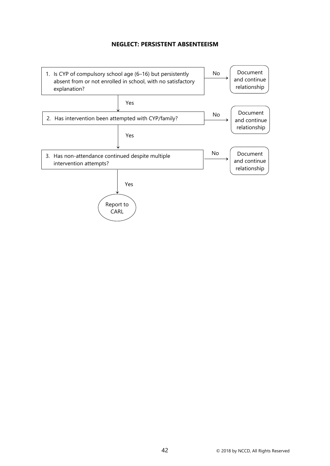## **NEGLECT: PERSISTENT ABSENTEEISM**

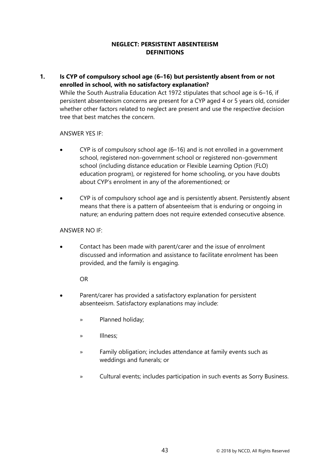## **NEGLECT: PERSISTENT ABSENTEEISM DEFINITIONS**

**1. Is CYP of compulsory school age (6–16) but persistently absent from or not enrolled in school, with no satisfactory explanation?** 

While the South Australia Education Act 1972 stipulates that school age is 6–16, if persistent absenteeism concerns are present for a CYP aged 4 or 5 years old, consider whether other factors related to neglect are present and use the respective decision tree that best matches the concern.

## ANSWER YES IF:

- CYP is of compulsory school age (6–16) and is not enrolled in a government school, registered non-government school or registered non-government school (including distance education or Flexible Learning Option (FLO) education program), or registered for home schooling, or you have doubts about CYP's enrolment in any of the aforementioned; or
- CYP is of compulsory school age and is persistently absent. Persistently absent means that there is a pattern of absenteeism that is enduring or ongoing in nature; an enduring pattern does not require extended consecutive absence.

### ANSWER NO IF:

• Contact has been made with parent/carer and the issue of enrolment discussed and information and assistance to facilitate enrolment has been provided, and the family is engaging.

OR

- Parent/carer has provided a satisfactory explanation for persistent absenteeism. Satisfactory explanations may include:
	- » Planned holiday;
	- » Illness;
	- » Family obligation; includes attendance at family events such as weddings and funerals; or
	- » Cultural events; includes participation in such events as Sorry Business.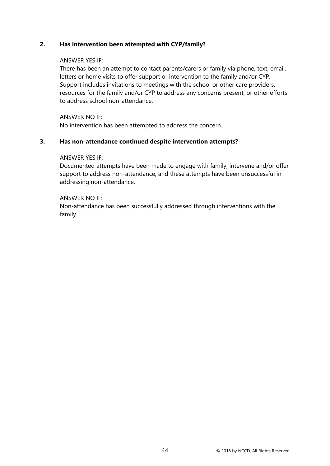## **2. Has intervention been attempted with CYP/family?**

### ANSWER YES IF:

There has been an attempt to contact parents/carers or family via phone, text, email, letters or home visits to offer support or intervention to the family and/or CYP. Support includes invitations to meetings with the school or other care providers, resources for the family and/or CYP to address any concerns present, or other efforts to address school non-attendance.

ANSWER NO IF:

No intervention has been attempted to address the concern.

## **3. Has non-attendance continued despite intervention attempts?**

### ANSWER YES IF:

Documented attempts have been made to engage with family, intervene and/or offer support to address non-attendance, and these attempts have been unsuccessful in addressing non-attendance.

## ANSWER NO IF:

Non-attendance has been successfully addressed through interventions with the family.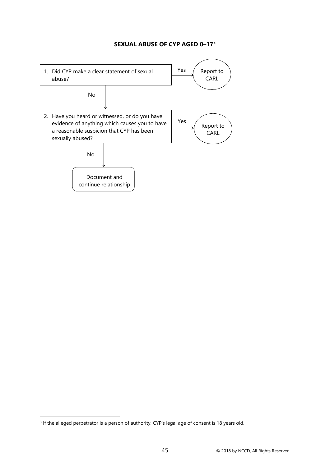# **SEXUAL ABUSE OF CYP AGED 0–17**[3](#page-49-0)



<span id="page-49-0"></span><sup>&</sup>lt;sup>3</sup> If the alleged perpetrator is a person of authority, CYP's legal age of consent is 18 years old.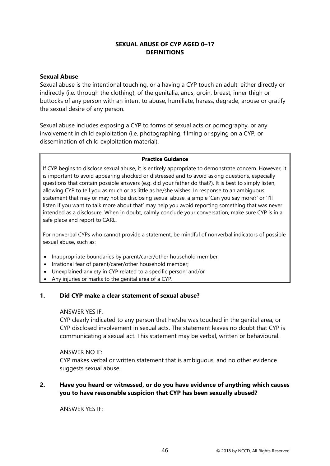## **SEXUAL ABUSE OF CYP AGED 0–17 DEFINITIONS**

### **Sexual Abuse**

Sexual abuse is the intentional touching, or a having a CYP touch an adult, either directly or indirectly (i.e. through the clothing), of the genitalia, anus, groin, breast, inner thigh or buttocks of any person with an intent to abuse, humiliate, harass, degrade, arouse or gratify the sexual desire of any person.

Sexual abuse includes exposing a CYP to forms of sexual acts or pornography, or any involvement in child exploitation (i.e. photographing, filming or spying on a CYP; or dissemination of child exploitation material).

### **Practice Guidance**

If CYP begins to disclose sexual abuse, it is entirely appropriate to demonstrate concern. However, it is important to avoid appearing shocked or distressed and to avoid asking questions, especially questions that contain possible answers (e.g. did your father do that?). It is best to simply listen, allowing CYP to tell you as much or as little as he/she wishes. In response to an ambiguous statement that may or may not be disclosing sexual abuse, a simple 'Can you say more?' or 'I'll listen if you want to talk more about that' may help you avoid reporting something that was never intended as a disclosure. When in doubt, calmly conclude your conversation, make sure CYP is in a safe place and report to CARL.

For nonverbal CYPs who cannot provide a statement, be mindful of nonverbal indicators of possible sexual abuse, such as:

- Inappropriate boundaries by parent/carer/other household member;
- Irrational fear of parent/carer/other household member;
- Unexplained anxiety in CYP related to a specific person; and/or
- Any injuries or marks to the genital area of a CYP.

# **1. Did CYP make a clear statement of sexual abuse?**

### ANSWER YES IF:

CYP clearly indicated to any person that he/she was touched in the genital area, or CYP disclosed involvement in sexual acts. The statement leaves no doubt that CYP is communicating a sexual act. This statement may be verbal, written or behavioural.

### ANSWER NO IF:

CYP makes verbal or written statement that is ambiguous, and no other evidence suggests sexual abuse.

# **2. Have you heard or witnessed, or do you have evidence of anything which causes you to have reasonable suspicion that CYP has been sexually abused?**

ANSWER YES IF: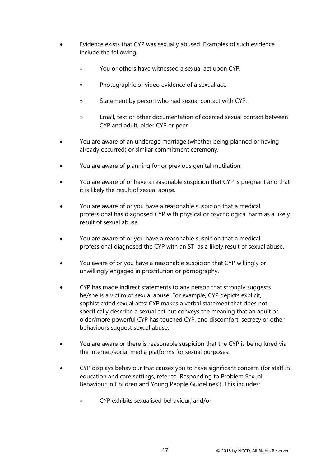- Evidence exists that CYP was sexually abused. Examples of such evidence include the following.
	- » You or others have witnessed a sexual act upon CYP.
	- » Photographic or video evidence of a sexual act.
	- » Statement by person who had sexual contact with CYP.
	- » Email, text or other documentation of coerced sexual contact between CYP and adult, older CYP or peer.
- You are aware of an underage marriage (whether being planned or having already occurred) or similar commitment ceremony.
- You are aware of planning for or previous genital mutilation.
- You are aware of or have a reasonable suspicion that CYP is pregnant and that it is likely the result of sexual abuse.
- You are aware of or you have a reasonable suspicion that a medical professional has diagnosed CYP with physical or psychological harm as a likely result of sexual abuse.
- You are aware of or you have a reasonable suspicion that a medical professional diagnosed the CYP with an STI as a likely result of sexual abuse.
- You aware of or you have a reasonable suspicion that CYP willingly or unwillingly engaged in prostitution or pornography.
- CYP has made indirect statements to any person that strongly suggests he/she is a victim of sexual abuse. For example, CYP depicts explicit, sophisticated sexual acts; CYP makes a verbal statement that does not specifically describe a sexual act but conveys the meaning that an adult or older/more powerful CYP has touched CYP, and discomfort, secrecy or other behaviours suggest sexual abuse.
- You are aware or there is reasonable suspicion that the CYP is being lured via the Internet/social media platforms for sexual purposes.
- CYP displays behaviour that causes you to have significant concern (for staff in education and care settings, refer to 'Responding to Problem Sexual Behaviour in Children and Young People Guidelines'). This includes:
	- » CYP exhibits sexualised behaviour; and/or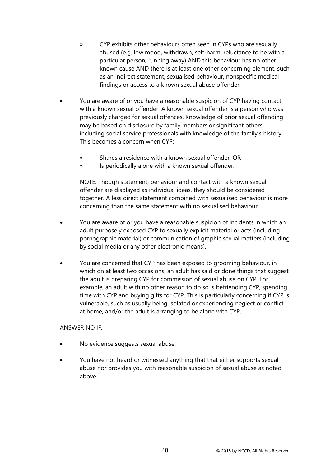- » CYP exhibits other behaviours often seen in CYPs who are sexually abused (e.g. low mood, withdrawn, self-harm, reluctance to be with a particular person, running away) AND this behaviour has no other known cause AND there is at least one other concerning element, such as an indirect statement, sexualised behaviour, nonspecific medical findings or access to a known sexual abuse offender.
- You are aware of or you have a reasonable suspicion of CYP having contact with a known sexual offender. A known sexual offender is a person who was previously charged for sexual offences. Knowledge of prior sexual offending may be based on disclosure by family members or significant others, including social service professionals with knowledge of the family's history. This becomes a concern when CYP:
	- » Shares a residence with a known sexual offender; OR
	- » Is periodically alone with a known sexual offender.

NOTE: Though statement, behaviour and contact with a known sexual offender are displayed as individual ideas, they should be considered together. A less direct statement combined with sexualised behaviour is more concerning than the same statement with no sexualised behaviour.

- You are aware of or you have a reasonable suspicion of incidents in which an adult purposely exposed CYP to sexually explicit material or acts (including pornographic material) or communication of graphic sexual matters (including by social media or any other electronic means).
- You are concerned that CYP has been exposed to grooming behaviour, in which on at least two occasions, an adult has said or done things that suggest the adult is preparing CYP for commission of sexual abuse on CYP. For example, an adult with no other reason to do so is befriending CYP, spending time with CYP and buying gifts for CYP. This is particularly concerning if CYP is vulnerable, such as usually being isolated or experiencing neglect or conflict at home, and/or the adult is arranging to be alone with CYP.

### ANSWER NO IF:

- No evidence suggests sexual abuse.
- You have not heard or witnessed anything that that either supports sexual abuse nor provides you with reasonable suspicion of sexual abuse as noted above.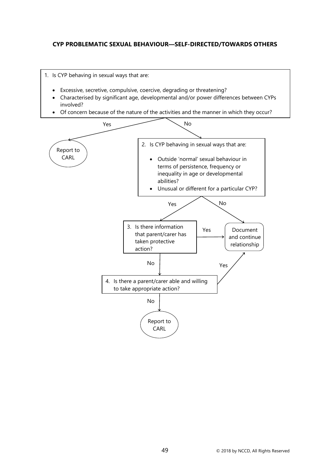## **CYP PROBLEMATIC SEXUAL BEHAVIOUR—SELF-DIRECTED/TOWARDS OTHERS**

- 1. Is CYP behaving in sexual ways that are:
	- Excessive, secretive, compulsive, coercive, degrading or threatening?
	- Characterised by significant age, developmental and/or power differences between CYPs involved?
	- Of concern because of the nature of the activities and the manner in which they occur?

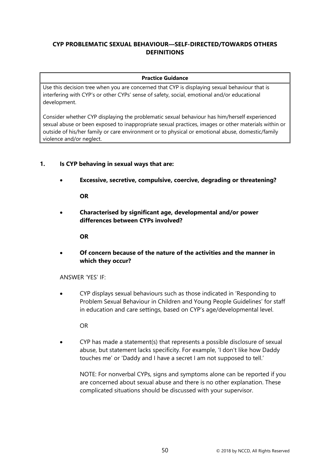# **CYP PROBLEMATIC SEXUAL BEHAVIOUR—SELF-DIRECTED/TOWARDS OTHERS DEFINITIONS**

#### **Practice Guidance**

Use this decision tree when you are concerned that CYP is displaying sexual behaviour that is interfering with CYP's or other CYPs' sense of safety, social, emotional and/or educational development.

Consider whether CYP displaying the problematic sexual behaviour has him/herself experienced sexual abuse or been exposed to inappropriate sexual practices, images or other materials within or outside of his/her family or care environment or to physical or emotional abuse, domestic/family violence and/or neglect.

# **1. Is CYP behaving in sexual ways that are:**

• **Excessive, secretive, compulsive, coercive, degrading or threatening?**

**OR**

• **Characterised by significant age, developmental and/or power differences between CYPs involved?**

**OR**

• **Of concern because of the nature of the activities and the manner in which they occur?**

ANSWER 'YES' IF:

• CYP displays sexual behaviours such as those indicated in 'Responding to Problem Sexual Behaviour in Children and Young People Guidelines' for staff in education and care settings, based on CYP's age/developmental level.

OR

• CYP has made a statement(s) that represents a possible disclosure of sexual abuse, but statement lacks specificity. For example, 'I don't like how Daddy touches me' or 'Daddy and I have a secret I am not supposed to tell.'

NOTE: For nonverbal CYPs, signs and symptoms alone can be reported if you are concerned about sexual abuse and there is no other explanation. These complicated situations should be discussed with your supervisor.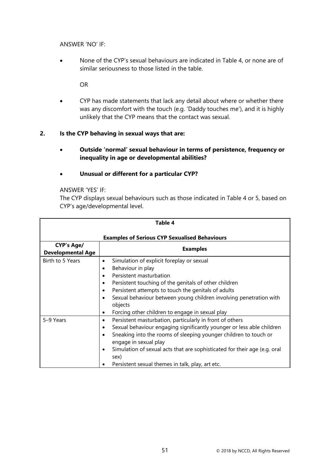ANSWER 'NO' IF:

• None of the CYP's sexual behaviours are indicated in Table 4, or none are of similar seriousness to those listed in the table.

OR

• CYP has made statements that lack any detail about where or whether there was any discomfort with the touch (e.g. 'Daddy touches me'), and it is highly unlikely that the CYP means that the contact was sexual.

## **2. Is the CYP behaving in sexual ways that are:**

- **Outside 'normal' sexual behaviour in terms of persistence, frequency or inequality in age or developmental abilities?**
- **Unusual or different for a particular CYP?**

### ANSWER 'YES' IF:

The CYP displays sexual behaviours such as those indicated in Table 4 or 5, based on CYP's age/developmental level.

| Table 4                                              |                                                                                                                                                                                                                                                                                                                                                                                                   |  |
|------------------------------------------------------|---------------------------------------------------------------------------------------------------------------------------------------------------------------------------------------------------------------------------------------------------------------------------------------------------------------------------------------------------------------------------------------------------|--|
| <b>Examples of Serious CYP Sexualised Behaviours</b> |                                                                                                                                                                                                                                                                                                                                                                                                   |  |
| <b>CYP's Age/</b><br><b>Developmental Age</b>        | <b>Examples</b>                                                                                                                                                                                                                                                                                                                                                                                   |  |
| Birth to 5 Years                                     | Simulation of explicit foreplay or sexual<br>$\bullet$<br>Behaviour in play<br>Persistent masturbation<br>Persistent touching of the genitals of other children<br>$\bullet$<br>Persistent attempts to touch the genitals of adults<br>Sexual behaviour between young children involving penetration with<br>objects<br>Forcing other children to engage in sexual play<br>٠                      |  |
| 5-9 Years                                            | Persistent masturbation, particularly in front of others<br>$\bullet$<br>Sexual behaviour engaging significantly younger or less able children<br>$\bullet$<br>Sneaking into the rooms of sleeping younger children to touch or<br>engage in sexual play<br>Simulation of sexual acts that are sophisticated for their age (e.g. oral<br>sex)<br>Persistent sexual themes in talk, play, art etc. |  |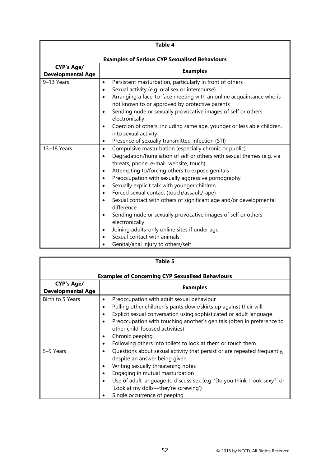| Table 4                                              |                                                                                                                                                                                                                                                                                                                                                                                                                                                                                                                                                                                                                                                                                                                                                                                                      |  |
|------------------------------------------------------|------------------------------------------------------------------------------------------------------------------------------------------------------------------------------------------------------------------------------------------------------------------------------------------------------------------------------------------------------------------------------------------------------------------------------------------------------------------------------------------------------------------------------------------------------------------------------------------------------------------------------------------------------------------------------------------------------------------------------------------------------------------------------------------------------|--|
| <b>Examples of Serious CYP Sexualised Behaviours</b> |                                                                                                                                                                                                                                                                                                                                                                                                                                                                                                                                                                                                                                                                                                                                                                                                      |  |
| <b>CYP's Age/</b><br><b>Developmental Age</b>        | <b>Examples</b>                                                                                                                                                                                                                                                                                                                                                                                                                                                                                                                                                                                                                                                                                                                                                                                      |  |
| 9-13 Years                                           | Persistent masturbation, particularly in front of others<br>٠<br>Sexual activity (e.g. oral sex or intercourse)<br>$\bullet$<br>Arranging a face-to-face meeting with an online acquaintance who is<br>$\bullet$<br>not known to or approved by protective parents<br>Sending nude or sexually provocative images of self or others<br>٠<br>electronically<br>Coercion of others, including same age, younger or less able children,<br>$\bullet$<br>into sexual activity<br>Presence of sexually transmitted infection (STI)<br>٠                                                                                                                                                                                                                                                                   |  |
| 13-18 Years                                          | Compulsive masturbation (especially chronic or public)<br>$\bullet$<br>Degradation/humiliation of self or others with sexual themes (e.g. via<br>$\bullet$<br>threats, phone, e-mail, website, touch)<br>Attempting to/forcing others to expose genitals<br>$\bullet$<br>Preoccupation with sexually aggressive pornography<br>$\bullet$<br>Sexually explicit talk with younger children<br>$\bullet$<br>Forced sexual contact (touch/assault/rape)<br>$\bullet$<br>Sexual contact with others of significant age and/or developmental<br>$\bullet$<br>difference<br>Sending nude or sexually provocative images of self or others<br>$\bullet$<br>electronically<br>Joining adults-only online sites if under age<br>$\bullet$<br>Sexual contact with animals<br>Genital/anal injury to others/self |  |

| Table 5                                                 |                                                                                                                                                                                                                                                                                                                                                                                                                                  |  |
|---------------------------------------------------------|----------------------------------------------------------------------------------------------------------------------------------------------------------------------------------------------------------------------------------------------------------------------------------------------------------------------------------------------------------------------------------------------------------------------------------|--|
| <b>Examples of Concerning CYP Sexualised Behaviours</b> |                                                                                                                                                                                                                                                                                                                                                                                                                                  |  |
| <b>CYP's Age/</b><br><b>Developmental Age</b>           | <b>Examples</b>                                                                                                                                                                                                                                                                                                                                                                                                                  |  |
| Birth to 5 Years                                        | Preoccupation with adult sexual behaviour<br>٠<br>Pulling other children's pants down/skirts up against their will<br>$\bullet$<br>Explicit sexual conversation using sophisticated or adult language<br>٠<br>Preoccupation with touching another's genitals (often in preference to<br>$\bullet$<br>other child-focused activities)<br>Chronic peeping<br>٠<br>Following others into toilets to look at them or touch them<br>٠ |  |
| 5-9 Years                                               | Questions about sexual activity that persist or are repeated frequently,<br>$\bullet$<br>despite an answer being given<br>Writing sexually threatening notes<br>$\bullet$<br>Engaging in mutual masturbation<br>Use of adult language to discuss sex (e.g. 'Do you think I look sexy?' or<br>$\bullet$<br>'Look at my dolls-they're screwing')<br>Single occurrence of peeping                                                   |  |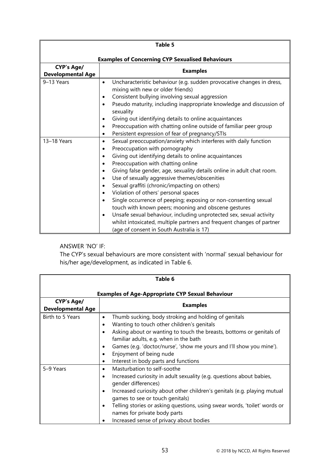| Table 5                                                 |                                                                                                                 |  |
|---------------------------------------------------------|-----------------------------------------------------------------------------------------------------------------|--|
| <b>Examples of Concerning CYP Sexualised Behaviours</b> |                                                                                                                 |  |
| <b>CYP's Age/</b>                                       | <b>Examples</b>                                                                                                 |  |
| <b>Developmental Age</b>                                |                                                                                                                 |  |
| 9-13 Years                                              | Uncharacteristic behaviour (e.g. sudden provocative changes in dress,<br>٠<br>mixing with new or older friends) |  |
|                                                         | Consistent bullying involving sexual aggression<br>$\bullet$                                                    |  |
|                                                         | Pseudo maturity, including inappropriate knowledge and discussion of<br>sexuality                               |  |
|                                                         | Giving out identifying details to online acquaintances                                                          |  |
|                                                         | Preoccupation with chatting online outside of familiar peer group<br>$\bullet$                                  |  |
|                                                         | Persistent expression of fear of pregnancy/STIs<br>$\bullet$                                                    |  |
| 13-18 Years                                             | Sexual preoccupation/anxiety which interferes with daily function<br>$\bullet$                                  |  |
|                                                         | Preoccupation with pornography<br>$\bullet$                                                                     |  |
|                                                         | Giving out identifying details to online acquaintances                                                          |  |
|                                                         | Preoccupation with chatting online<br>$\bullet$                                                                 |  |
|                                                         | Giving false gender, age, sexuality details online in adult chat room.                                          |  |
|                                                         | Use of sexually aggressive themes/obscenities                                                                   |  |
|                                                         | Sexual graffiti (chronic/impacting on others)<br>$\bullet$                                                      |  |
|                                                         | Violation of others' personal spaces<br>$\bullet$                                                               |  |
|                                                         | Single occurrence of peeping; exposing or non-consenting sexual                                                 |  |
|                                                         | touch with known peers; mooning and obscene gestures                                                            |  |
|                                                         | Unsafe sexual behaviour, including unprotected sex, sexual activity<br>$\bullet$                                |  |
|                                                         | whilst intoxicated, multiple partners and frequent changes of partner                                           |  |
|                                                         | (age of consent in South Australia is 17)                                                                       |  |

# ANSWER 'NO' IF:

The CYP's sexual behaviours are more consistent with 'normal' sexual behaviour for his/her age/development, as indicated in Table 6.

| Table 6                                                 |                                                                                                                                                                                                                                                                                                                                                                                                                                          |  |  |
|---------------------------------------------------------|------------------------------------------------------------------------------------------------------------------------------------------------------------------------------------------------------------------------------------------------------------------------------------------------------------------------------------------------------------------------------------------------------------------------------------------|--|--|
| <b>Examples of Age-Appropriate CYP Sexual Behaviour</b> |                                                                                                                                                                                                                                                                                                                                                                                                                                          |  |  |
| <b>CYP's Age/</b><br><b>Developmental Age</b>           | <b>Examples</b>                                                                                                                                                                                                                                                                                                                                                                                                                          |  |  |
| Birth to 5 Years                                        | Thumb sucking, body stroking and holding of genitals<br>٠<br>Wanting to touch other children's genitals<br>$\bullet$<br>Asking about or wanting to touch the breasts, bottoms or genitals of<br>familiar adults, e.g. when in the bath<br>Games (e.g. 'doctor/nurse', 'show me yours and I'll show you mine').<br>Enjoyment of being nude<br>Interest in body parts and functions<br>٠                                                   |  |  |
| 5-9 Years                                               | Masturbation to self-soothe<br>$\bullet$<br>Increased curiosity in adult sexuality (e.g. questions about babies,<br>$\bullet$<br>gender differences)<br>Increased curiosity about other children's genitals (e.g. playing mutual<br>$\bullet$<br>games to see or touch genitals)<br>Telling stories or asking questions, using swear words, 'toilet' words or<br>names for private body parts<br>Increased sense of privacy about bodies |  |  |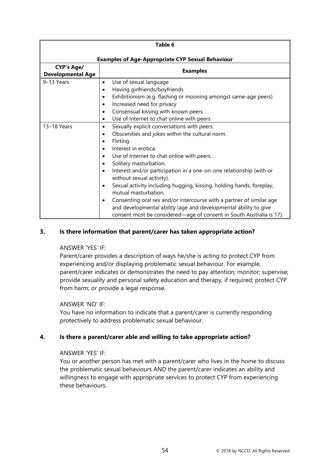| Table 6                                                 |                                                                                                                                                                                                                                                                                                                                                                                                                                                                                                                                                                                                                                          |  |
|---------------------------------------------------------|------------------------------------------------------------------------------------------------------------------------------------------------------------------------------------------------------------------------------------------------------------------------------------------------------------------------------------------------------------------------------------------------------------------------------------------------------------------------------------------------------------------------------------------------------------------------------------------------------------------------------------------|--|
| <b>Examples of Age-Appropriate CYP Sexual Behaviour</b> |                                                                                                                                                                                                                                                                                                                                                                                                                                                                                                                                                                                                                                          |  |
| <b>CYP's Age/</b><br><b>Developmental Age</b>           | <b>Examples</b>                                                                                                                                                                                                                                                                                                                                                                                                                                                                                                                                                                                                                          |  |
| 9-13 Years                                              | Use of sexual language<br>$\bullet$<br>Having girlfriends/boyfriends<br>٠<br>Exhibitionism (e.g. flashing or mooning amongst same-age peers)<br>$\bullet$<br>Increased need for privacy<br>$\bullet$<br>Consensual kissing with known peers<br>$\bullet$<br>Use of Internet to chat online with peers<br>$\bullet$                                                                                                                                                                                                                                                                                                                       |  |
| 13-18 Years                                             | Sexually explicit conversations with peers.<br>٠<br>Obscenities and jokes within the cultural norm.<br>Flirting.<br>Interest in erotica.<br>Use of Internet to chat online with peers.<br>Solitary masturbation.<br>Interest and/or participation in a one-on-one relationship (with or<br>without sexual activity).<br>Sexual activity including hugging, kissing, holding hands, foreplay,<br>mutual masturbation.<br>Consenting oral sex and/or intercourse with a partner of similar age<br>and developmental ability (age and developmental ability to give<br>consent must be considered—age of consent in South Australia is 17). |  |

## **3. Is there information that parent/carer has taken appropriate action?**

### ANSWER 'YES' IF:

Parent/carer provides a description of ways he/she is acting to protect CYP from experiencing and/or displaying problematic sexual behaviour. For example, parent/carer indicates or demonstrates the need to pay attention; monitor; supervise; provide sexuality and personal safety education and therapy, if required; protect CYP from harm; or provide a legal response.

### ANSWER 'NO' IF:

You have no information to indicate that a parent/carer is currently responding protectively to address problematic sexual behaviour.

### **4. Is there a parent/carer able and willing to take appropriate action?**

### ANSWER 'YES' IF:

You or another person has met with a parent/carer who lives in the home to discuss the problematic sexual behaviours AND the parent/carer indicates an ability and willingness to engage with appropriate services to protect CYP from experiencing these behaviours.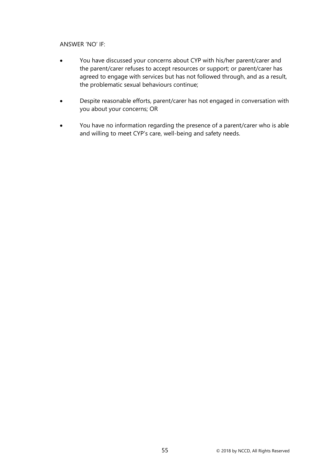### ANSWER 'NO' IF:

- You have discussed your concerns about CYP with his/her parent/carer and the parent/carer refuses to accept resources or support; or parent/carer has agreed to engage with services but has not followed through, and as a result, the problematic sexual behaviours continue;
- Despite reasonable efforts, parent/carer has not engaged in conversation with you about your concerns; OR
- You have no information regarding the presence of a parent/carer who is able and willing to meet CYP's care, well-being and safety needs.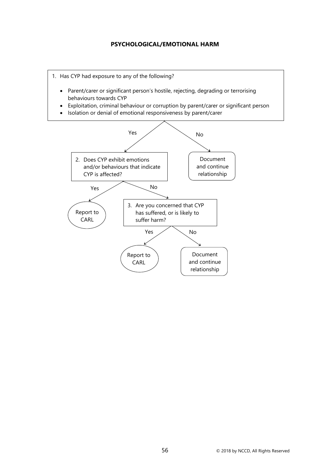### **PSYCHOLOGICAL/EMOTIONAL HARM**

1. Has CYP had exposure to any of the following?

- Parent/carer or significant person's hostile, rejecting, degrading or terrorising behaviours towards CYP
- Exploitation, criminal behaviour or corruption by parent/carer or significant person
- Isolation or denial of emotional responsiveness by parent/carer

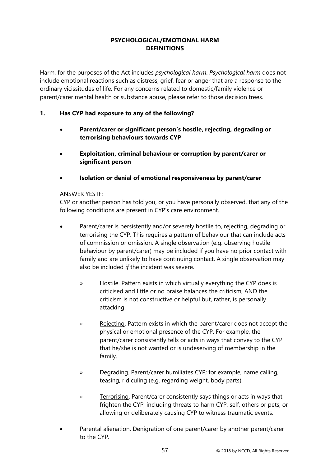# **PSYCHOLOGICAL/EMOTIONAL HARM DEFINITIONS**

Harm, for the purposes of the Act includes *psychological harm*. *Psychological harm* does not include emotional reactions such as distress, grief, fear or anger that are a response to the ordinary vicissitudes of life. For any concerns related to domestic/family violence or parent/carer mental health or substance abuse, please refer to those decision trees.

# **1. Has CYP had exposure to any of the following?**

- **Parent/carer or significant person's hostile, rejecting, degrading or terrorising behaviours towards CYP**
- **Exploitation, criminal behaviour or corruption by parent/carer or significant person**
- **Isolation or denial of emotional responsiveness by parent/carer**

### ANSWER YES IF:

CYP or another person has told you, or you have personally observed, that any of the following conditions are present in CYP's care environment.

- Parent/carer is persistently and/or severely hostile to, rejecting, degrading or terrorising the CYP. This requires a pattern of behaviour that can include acts of commission or omission. A single observation (e.g. observing hostile behaviour by parent/carer) may be included if you have no prior contact with family and are unlikely to have continuing contact. A single observation may also be included *if* the incident was severe.
	- » Hostile. Pattern exists in which virtually everything the CYP does is criticised and little or no praise balances the criticism, AND the criticism is not constructive or helpful but, rather, is personally attacking.
	- » Rejecting. Pattern exists in which the parent/carer does not accept the physical or emotional presence of the CYP. For example, the parent/carer consistently tells or acts in ways that convey to the CYP that he/she is not wanted or is undeserving of membership in the family.
	- » Degrading. Parent/carer humiliates CYP; for example, name calling, teasing, ridiculing (e.g. regarding weight, body parts).
	- » Terrorising. Parent/carer consistently says things or acts in ways that frighten the CYP, including threats to harm CYP, self, others or pets, or allowing or deliberately causing CYP to witness traumatic events.
- Parental alienation. Denigration of one parent/carer by another parent/carer to the CYP.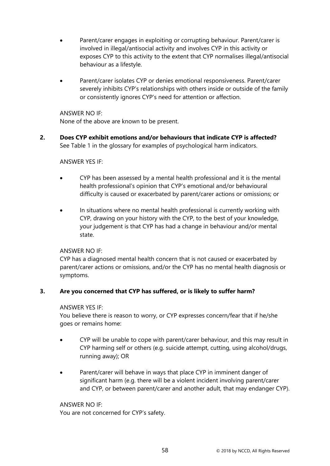- Parent/carer engages in exploiting or corrupting behaviour. Parent/carer is involved in illegal/antisocial activity and involves CYP in this activity or exposes CYP to this activity to the extent that CYP normalises illegal/antisocial behaviour as a lifestyle.
- Parent/carer isolates CYP or denies emotional responsiveness. Parent/carer severely inhibits CYP's relationships with others inside or outside of the family or consistently ignores CYP's need for attention or affection.

ANSWER NO IF:

None of the above are known to be present.

**2. Does CYP exhibit emotions and/or behaviours that indicate CYP is affected?** See Table 1 in the glossary for examples of psychological harm indicators.

### ANSWER YES IF:

- CYP has been assessed by a mental health professional and it is the mental health professional's opinion that CYP's emotional and/or behavioural difficulty is caused or exacerbated by parent/carer actions or omissions; or
- In situations where no mental health professional is currently working with CYP, drawing on your history with the CYP, to the best of your knowledge, your judgement is that CYP has had a change in behaviour and/or mental state.

### ANSWER NO IF:

CYP has a diagnosed mental health concern that is not caused or exacerbated by parent/carer actions or omissions, and/or the CYP has no mental health diagnosis or symptoms.

### **3. Are you concerned that CYP has suffered, or is likely to suffer harm?**

### ANSWER YES IF:

You believe there is reason to worry, or CYP expresses concern/fear that if he/she goes or remains home:

- CYP will be unable to cope with parent/carer behaviour, and this may result in CYP harming self or others (e.g. suicide attempt, cutting, using alcohol/drugs, running away); OR
- Parent/carer will behave in ways that place CYP in imminent danger of significant harm (e.g. there will be a violent incident involving parent/carer and CYP, or between parent/carer and another adult, that may endanger CYP).

### ANSWER NO IF:

You are not concerned for CYP's safety.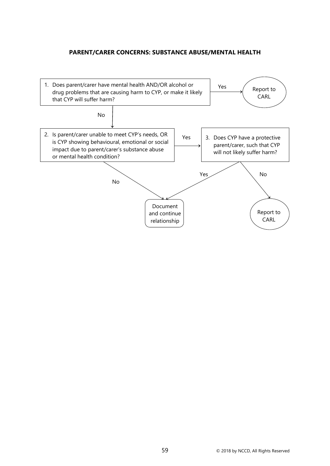## **PARENT/CARER CONCERNS: SUBSTANCE ABUSE/MENTAL HEALTH**

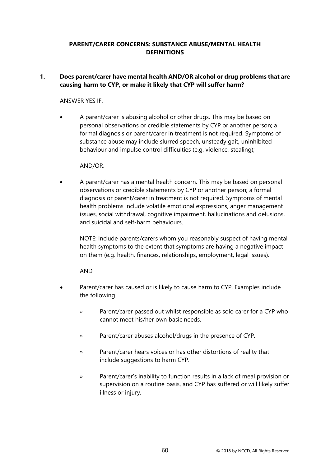## **PARENT/CARER CONCERNS: SUBSTANCE ABUSE/MENTAL HEALTH DEFINITIONS**

# **1. Does parent/carer have mental health AND/OR alcohol or drug problems that are causing harm to CYP, or make it likely that CYP will suffer harm?**

## ANSWER YES IF:

• A parent/carer is abusing alcohol or other drugs. This may be based on personal observations or credible statements by CYP or another person; a formal diagnosis or parent/carer in treatment is not required. Symptoms of substance abuse may include slurred speech, unsteady gait, uninhibited behaviour and impulse control difficulties (e.g. violence, stealing);

### AND/OR:

• A parent/carer has a mental health concern. This may be based on personal observations or credible statements by CYP or another person; a formal diagnosis or parent/carer in treatment is not required. Symptoms of mental health problems include volatile emotional expressions, anger management issues, social withdrawal, cognitive impairment, hallucinations and delusions, and suicidal and self-harm behaviours.

NOTE: Include parents/carers whom you reasonably suspect of having mental health symptoms to the extent that symptoms are having a negative impact on them (e.g. health, finances, relationships, employment, legal issues).

### AND

- Parent/carer has caused or is likely to cause harm to CYP. Examples include the following.
	- » Parent/carer passed out whilst responsible as solo carer for a CYP who cannot meet his/her own basic needs.
	- » Parent/carer abuses alcohol/drugs in the presence of CYP.
	- » Parent/carer hears voices or has other distortions of reality that include suggestions to harm CYP.
	- » Parent/carer's inability to function results in a lack of meal provision or supervision on a routine basis, and CYP has suffered or will likely suffer illness or injury.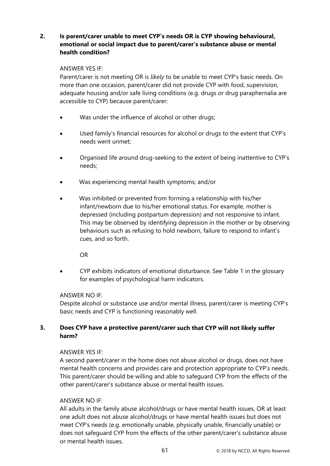# **2. Is parent/carer unable to meet CYP's needs OR is CYP showing behavioural, emotional or social impact due to parent/carer's substance abuse or mental health condition?**

### ANSWER YES IF:

Parent/carer is not meeting OR is *likely* to be unable to meet CYP's basic needs. On more than one occasion, parent/carer did not provide CYP with food, supervision, adequate housing and/or safe living conditions (e.g. drugs or drug paraphernalia are accessible to CYP) because parent/carer:

- Was under the influence of alcohol or other drugs;
- Used family's financial resources for alcohol or drugs to the extent that CYP's needs went unmet;
- Organised life around drug-seeking to the extent of being inattentive to CYP's needs;
- Was experiencing mental health symptoms; and/or
- Was inhibited or prevented from forming a relationship with his/her infant/newborn due to his/her emotional status. For example, mother is depressed (including postpartum depression) and not responsive to infant. This may be observed by identifying depression in the mother or by observing behaviours such as refusing to hold newborn, failure to respond to infant's cues, and so forth.

OR

• CYP exhibits indicators of emotional disturbance. See Table 1 in the glossary for examples of psychological harm indicators.

# ANSWER NO IF:

Despite alcohol or substance use and/or mental illness, parent/carer is meeting CYP's basic needs and CYP is functioning reasonably well.

# **3. Does CYP have a protective parent/carer such that CYP will not likely suffer harm?**

# ANSWER YES IF:

A second parent/carer in the home does not abuse alcohol or drugs, does not have mental health concerns and provides care and protection appropriate to CYP's needs. This parent/carer should be willing and able to safeguard CYP from the effects of the other parent/carer's substance abuse or mental health issues.

### ANSWER NO IF:

All adults in the family abuse alcohol/drugs or have mental health issues, OR at least one adult does not abuse alcohol/drugs or have mental health issues but does not meet CYP's needs (e.g. emotionally unable, physically unable, financially unable) or does not safeguard CYP from the effects of the other parent/carer's substance abuse or mental health issues.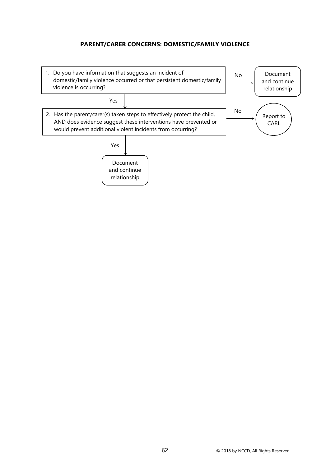# **PARENT/CARER CONCERNS: DOMESTIC/FAMILY VIOLENCE**

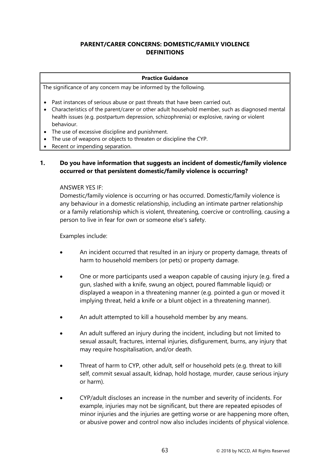# **PARENT/CARER CONCERNS: DOMESTIC/FAMILY VIOLENCE DEFINITIONS**

#### **Practice Guidance**

The significance of any concern may be informed by the following.

- Past instances of serious abuse or past threats that have been carried out.
- Characteristics of the parent/carer or other adult household member, such as diagnosed mental health issues (e.g. postpartum depression, schizophrenia) or explosive, raving or violent behaviour.
- The use of excessive discipline and punishment.
- The use of weapons or objects to threaten or discipline the CYP.
- Recent or impending separation.

## **1. Do you have information that suggests an incident of domestic/family violence occurred or that persistent domestic/family violence is occurring?**

ANSWER YES IF:

Domestic/family violence is occurring or has occurred. Domestic/family violence is any behaviour in a domestic relationship, including an intimate partner relationship or a family relationship which is violent, threatening, coercive or controlling, causing a person to live in fear for own or someone else's safety.

Examples include:

- An incident occurred that resulted in an injury or property damage, threats of harm to household members (or pets) or property damage.
- One or more participants used a weapon capable of causing injury (e.g. fired a gun, slashed with a knife, swung an object, poured flammable liquid) or displayed a weapon in a threatening manner (e.g. pointed a gun or moved it implying threat, held a knife or a blunt object in a threatening manner).
- An adult attempted to kill a household member by any means.
- An adult suffered an injury during the incident, including but not limited to sexual assault, fractures, internal injuries, disfigurement, burns, any injury that may require hospitalisation, and/or death.
- Threat of harm to CYP, other adult, self or household pets (e.g. threat to kill self, commit sexual assault, kidnap, hold hostage, murder, cause serious injury or harm).
- CYP/adult discloses an increase in the number and severity of incidents. For example, injuries may not be significant, but there are repeated episodes of minor injuries and the injuries are getting worse or are happening more often, or abusive power and control now also includes incidents of physical violence.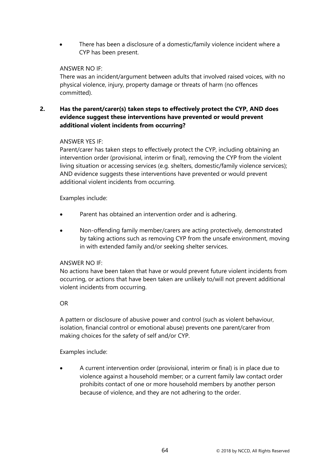• There has been a disclosure of a domestic/family violence incident where a CYP has been present.

### ANSWER NO IF:

There was an incident/argument between adults that involved raised voices, with no physical violence, injury, property damage or threats of harm (no offences committed).

# **2. Has the parent/carer(s) taken steps to effectively protect the CYP, AND does evidence suggest these interventions have prevented or would prevent additional violent incidents from occurring?**

## ANSWER YES IF:

Parent/carer has taken steps to effectively protect the CYP, including obtaining an intervention order (provisional, interim or final), removing the CYP from the violent living situation or accessing services (e.g. shelters, domestic/family violence services); AND evidence suggests these interventions have prevented or would prevent additional violent incidents from occurring.

## Examples include:

- Parent has obtained an intervention order and is adhering.
- Non-offending family member/carers are acting protectively, demonstrated by taking actions such as removing CYP from the unsafe environment, moving in with extended family and/or seeking shelter services.

### ANSWER NO IF:

No actions have been taken that have or would prevent future violent incidents from occurring, or actions that have been taken are unlikely to/will not prevent additional violent incidents from occurring.

### OR

A pattern or disclosure of abusive power and control (such as violent behaviour, isolation, financial control or emotional abuse) prevents one parent/carer from making choices for the safety of self and/or CYP.

### Examples include:

• A current intervention order (provisional, interim or final) is in place due to violence against a household member; or a current family law contact order prohibits contact of one or more household members by another person because of violence, and they are not adhering to the order.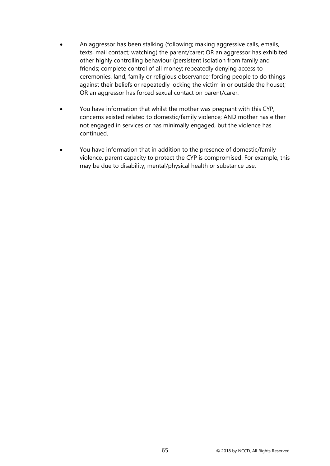- An aggressor has been stalking (following; making aggressive calls, emails, texts, mail contact; watching) the parent/carer; OR an aggressor has exhibited other highly controlling behaviour (persistent isolation from family and friends; complete control of all money; repeatedly denying access to ceremonies, land, family or religious observance; forcing people to do things against their beliefs or repeatedly locking the victim in or outside the house); OR an aggressor has forced sexual contact on parent/carer.
- You have information that whilst the mother was pregnant with this CYP, concerns existed related to domestic/family violence; AND mother has either not engaged in services or has minimally engaged, but the violence has continued.
- You have information that in addition to the presence of domestic/family violence, parent capacity to protect the CYP is compromised. For example, this may be due to disability, mental/physical health or substance use.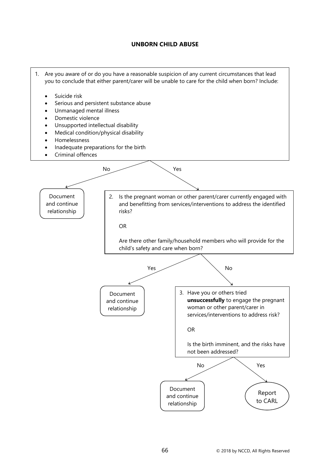## **UNBORN CHILD ABUSE**

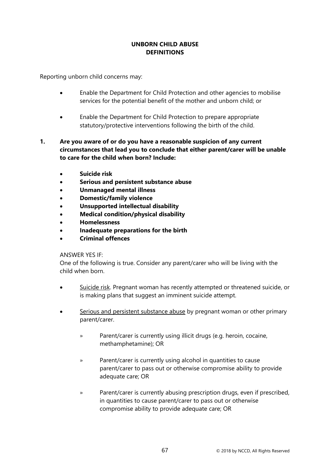# **UNBORN CHILD ABUSE DEFINITIONS**

Reporting unborn child concerns may:

- Enable the Department for Child Protection and other agencies to mobilise services for the potential benefit of the mother and unborn child; or
- Enable the Department for Child Protection to prepare appropriate statutory/protective interventions following the birth of the child.
- **1. Are you aware of or do you have a reasonable suspicion of any current circumstances that lead you to conclude that either parent/carer will be unable to care for the child when born? Include:** 
	- **Suicide risk**
	- **Serious and persistent substance abuse**
	- **Unmanaged mental illness**
	- **Domestic/family violence**
	- **Unsupported intellectual disability**
	- **Medical condition/physical disability**
	- **Homelessness**
	- **Inadequate preparations for the birth**
	- **Criminal offences**

### ANSWER YES IF:

One of the following is true. Consider any parent/carer who will be living with the child when born.

- Suicide risk. Pregnant woman has recently attempted or threatened suicide, or is making plans that suggest an imminent suicide attempt.
- Serious and persistent substance abuse by pregnant woman or other primary parent/carer.
	- » Parent/carer is currently using illicit drugs (e.g. heroin, cocaine, methamphetamine); OR
	- » Parent/carer is currently using alcohol in quantities to cause parent/carer to pass out or otherwise compromise ability to provide adequate care; OR
	- » Parent/carer is currently abusing prescription drugs, even if prescribed, in quantities to cause parent/carer to pass out or otherwise compromise ability to provide adequate care; OR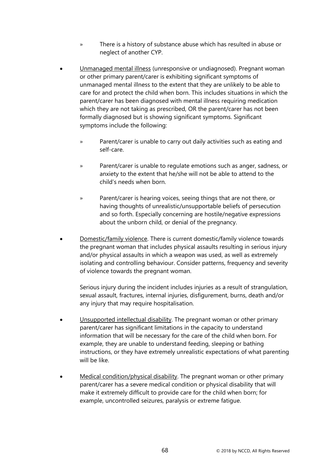- » There is a history of substance abuse which has resulted in abuse or neglect of another CYP.
- Unmanaged mental illness (unresponsive or undiagnosed). Pregnant woman or other primary parent/carer is exhibiting significant symptoms of unmanaged mental illness to the extent that they are unlikely to be able to care for and protect the child when born. This includes situations in which the parent/carer has been diagnosed with mental illness requiring medication which they are not taking as prescribed, OR the parent/carer has not been formally diagnosed but is showing significant symptoms. Significant symptoms include the following:
	- » Parent/carer is unable to carry out daily activities such as eating and self-care.
	- » Parent/carer is unable to regulate emotions such as anger, sadness, or anxiety to the extent that he/she will not be able to attend to the child's needs when born.
	- » Parent/carer is hearing voices, seeing things that are not there, or having thoughts of unrealistic/unsupportable beliefs of persecution and so forth. Especially concerning are hostile/negative expressions about the unborn child, or denial of the pregnancy.
- Domestic/family violence. There is current domestic/family violence towards the pregnant woman that includes physical assaults resulting in serious injury and/or physical assaults in which a weapon was used, as well as extremely isolating and controlling behaviour. Consider patterns, frequency and severity of violence towards the pregnant woman.

Serious injury during the incident includes injuries as a result of strangulation, sexual assault, fractures, internal injuries, disfigurement, burns, death and/or any injury that may require hospitalisation.

- Unsupported intellectual disability. The pregnant woman or other primary parent/carer has significant limitations in the capacity to understand information that will be necessary for the care of the child when born. For example, they are unable to understand feeding, sleeping or bathing instructions, or they have extremely unrealistic expectations of what parenting will be like.
- Medical condition/physical disability. The pregnant woman or other primary parent/carer has a severe medical condition or physical disability that will make it extremely difficult to provide care for the child when born; for example, uncontrolled seizures, paralysis or extreme fatigue.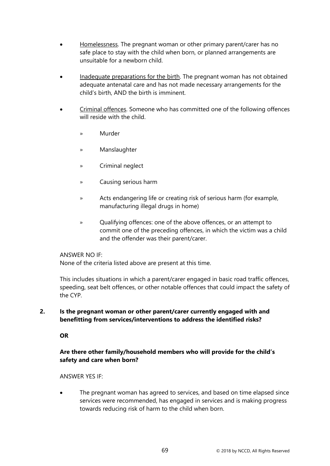- Homelessness. The pregnant woman or other primary parent/carer has no safe place to stay with the child when born, or planned arrangements are unsuitable for a newborn child.
- Inadequate preparations for the birth. The pregnant woman has not obtained adequate antenatal care and has not made necessary arrangements for the child's birth, AND the birth is imminent.
- Criminal offences. Someone who has committed one of the following offences will reside with the child.
	- » Murder
	- » Manslaughter
	- » Criminal neglect
	- » Causing serious harm
	- » Acts endangering life or creating risk of serious harm (for example, manufacturing illegal drugs in home)
	- » Qualifying offences: one of the above offences, or an attempt to commit one of the preceding offences, in which the victim was a child and the offender was their parent/carer.

#### ANSWER NO IF:

None of the criteria listed above are present at this time.

This includes situations in which a parent/carer engaged in basic road traffic offences, speeding, seat belt offences, or other notable offences that could impact the safety of the CYP.

### **2. Is the pregnant woman or other parent/carer currently engaged with and benefitting from services/interventions to address the identified risks?**

#### **OR**

## **Are there other family/household members who will provide for the child's safety and care when born?**

#### ANSWER YES IF:

• The pregnant woman has agreed to services, and based on time elapsed since services were recommended, has engaged in services and is making progress towards reducing risk of harm to the child when born.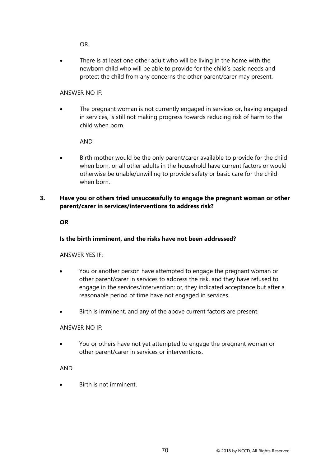OR

There is at least one other adult who will be living in the home with the newborn child who will be able to provide for the child's basic needs and protect the child from any concerns the other parent/carer may present.

## ANSWER NO IF:

The pregnant woman is not currently engaged in services or, having engaged in services, is still not making progress towards reducing risk of harm to the child when born.

AND

Birth mother would be the only parent/carer available to provide for the child when born, or all other adults in the household have current factors or would otherwise be unable/unwilling to provide safety or basic care for the child when born.

## **3. Have you or others tried unsuccessfully to engage the pregnant woman or other parent/carer in services/interventions to address risk?**

**OR**

## **Is the birth imminent, and the risks have not been addressed?**

ANSWER YES IF:

- You or another person have attempted to engage the pregnant woman or other parent/carer in services to address the risk, and they have refused to engage in the services/intervention; or, they indicated acceptance but after a reasonable period of time have not engaged in services.
- Birth is imminent, and any of the above current factors are present.

#### ANSWER NO IF:

• You or others have not yet attempted to engage the pregnant woman or other parent/carer in services or interventions.

#### AND

• Birth is not imminent.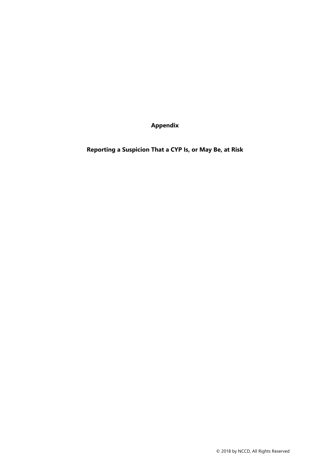**Appendix**

**Reporting a Suspicion That a CYP Is, or May Be, at Risk**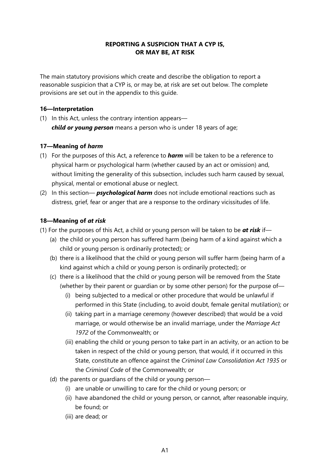## **REPORTING A SUSPICION THAT A CYP IS, OR MAY BE, AT RISK**

The main statutory provisions which create and describe the obligation to report a reasonable suspicion that a CYP is, or may be, at risk are set out below. The complete provisions are set out in the appendix to this guide.

#### **16—Interpretation**

(1) In this Act, unless the contrary intention appears *child or young person* means a person who is under 18 years of age;

## **17—Meaning of** *harm*

- (1) For the purposes of this Act, a reference to *harm* will be taken to be a reference to physical harm or psychological harm (whether caused by an act or omission) and, without limiting the generality of this subsection, includes such harm caused by sexual, physical, mental or emotional abuse or neglect.
- (2) In this section— *psychological harm* does not include emotional reactions such as distress, grief, fear or anger that are a response to the ordinary vicissitudes of life.

## **18—Meaning of** *at risk*

- (1) For the purposes of this Act, a child or young person will be taken to be *at risk* if—
	- (a) the child or young person has suffered harm (being harm of a kind against which a child or young person is ordinarily protected); or
	- (b) there is a likelihood that the child or young person will suffer harm (being harm of a kind against which a child or young person is ordinarily protected); or
	- (c) there is a likelihood that the child or young person will be removed from the State (whether by their parent or guardian or by some other person) for the purpose of—
		- (i) being subjected to a medical or other procedure that would be unlawful if performed in this State (including, to avoid doubt, female genital mutilation); or
		- (ii) taking part in a marriage ceremony (however described) that would be a void marriage, or would otherwise be an invalid marriage, under the *Marriage Act 1972* of the Commonwealth; or
		- (iii) enabling the child or young person to take part in an activity, or an action to be taken in respect of the child or young person, that would, if it occurred in this State, constitute an offence against the *Criminal Law Consolidation Act 1935* or the *Criminal Code* of the Commonwealth; or
	- (d) the parents or guardians of the child or young person—
		- (i) are unable or unwilling to care for the child or young person; or
		- (ii) have abandoned the child or young person, or cannot, after reasonable inquiry, be found; or
		- (iii) are dead; or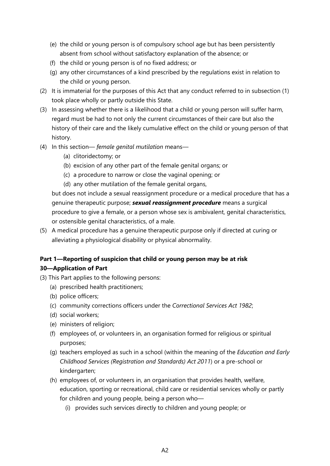- (e) the child or young person is of compulsory school age but has been persistently absent from school without satisfactory explanation of the absence; or
- (f) the child or young person is of no fixed address; or
- (g) any other circumstances of a kind prescribed by the regulations exist in relation to the child or young person.
- (2) It is immaterial for the purposes of this Act that any conduct referred to in subsection (1) took place wholly or partly outside this State.
- (3) In assessing whether there is a likelihood that a child or young person will suffer harm, regard must be had to not only the current circumstances of their care but also the history of their care and the likely cumulative effect on the child or young person of that history.
- (4) In this section— *female genital mutilation* means—
	- (a) clitoridectomy; or
	- (b) excision of any other part of the female genital organs; or
	- (c) a procedure to narrow or close the vaginal opening; or
	- (d) any other mutilation of the female genital organs,

but does not include a sexual reassignment procedure or a medical procedure that has a genuine therapeutic purpose; *sexual reassignment procedure* means a surgical procedure to give a female, or a person whose sex is ambivalent, genital characteristics, or ostensible genital characteristics, of a male.

(5) A medical procedure has a genuine therapeutic purpose only if directed at curing or alleviating a physiological disability or physical abnormality.

# **Part 1—Reporting of suspicion that child or young person may be at risk 30—Application of Part**

- (3) This Part applies to the following persons:
	- (a) prescribed health practitioners;
	- (b) police officers;
	- (c) community corrections officers under the *Correctional Services Act 1982*;
	- (d) social workers;
	- (e) ministers of religion;
	- (f) employees of, or volunteers in, an organisation formed for religious or spiritual purposes;
	- (g) teachers employed as such in a school (within the meaning of the *Education and Early Childhood Services (Registration and Standards) Act 2011*) or a pre-school or kindergarten;
	- (h) employees of, or volunteers in, an organisation that provides health, welfare, education, sporting or recreational, child care or residential services wholly or partly for children and young people, being a person who—
		- (i) provides such services directly to children and young people; or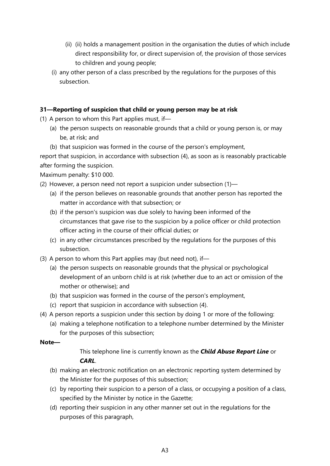- (ii) (ii) holds a management position in the organisation the duties of which include direct responsibility for, or direct supervision of, the provision of those services to children and young people;
- (i) any other person of a class prescribed by the regulations for the purposes of this subsection.

## **31—Reporting of suspicion that child or young person may be at risk**

(1) A person to whom this Part applies must, if—

- (a) the person suspects on reasonable grounds that a child or young person is, or may be, at risk; and
- (b) that suspicion was formed in the course of the person's employment,

report that suspicion, in accordance with subsection (4), as soon as is reasonably practicable after forming the suspicion.

Maximum penalty: \$10 000.

- (2) However, a person need not report a suspicion under subsection (1)—
	- (a) if the person believes on reasonable grounds that another person has reported the matter in accordance with that subsection; or
	- (b) if the person's suspicion was due solely to having been informed of the circumstances that gave rise to the suspicion by a police officer or child protection officer acting in the course of their official duties; or
	- (c) in any other circumstances prescribed by the regulations for the purposes of this subsection.
- (3) A person to whom this Part applies may (but need not), if—
	- (a) the person suspects on reasonable grounds that the physical or psychological development of an unborn child is at risk (whether due to an act or omission of the mother or otherwise); and
	- (b) that suspicion was formed in the course of the person's employment,
	- (c) report that suspicion in accordance with subsection (4).
- (4) A person reports a suspicion under this section by doing 1 or more of the following:
	- (a) making a telephone notification to a telephone number determined by the Minister for the purposes of this subsection;

## **Note—**

This telephone line is currently known as the *Child Abuse Report Line* or *CARL*.

- (b) making an electronic notification on an electronic reporting system determined by the Minister for the purposes of this subsection;
- (c) by reporting their suspicion to a person of a class, or occupying a position of a class, specified by the Minister by notice in the Gazette;
- (d) reporting their suspicion in any other manner set out in the regulations for the purposes of this paragraph,